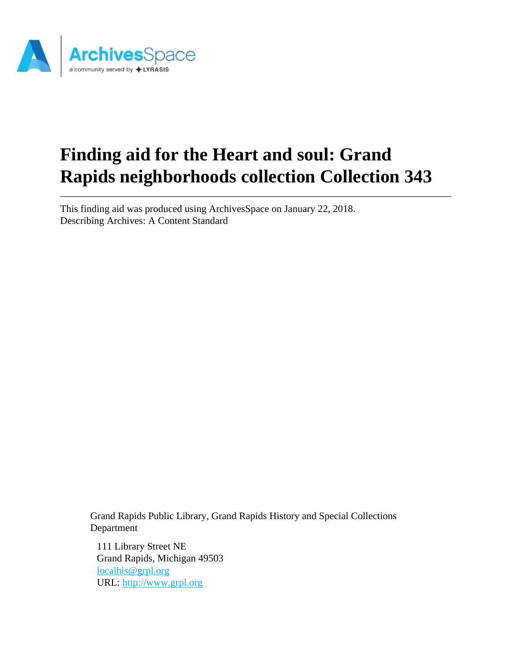

# **Finding aid for the Heart and soul: Grand Rapids neighborhoods collection Collection 343**

This finding aid was produced using ArchivesSpace on January 22, 2018. Describing Archives: A Content Standard

> Grand Rapids Public Library, Grand Rapids History and Special Collections Department

111 Library Street NE Grand Rapids, Michigan 49503 [localhis@grpl.org](mailto:localhis@grpl.org) URL:<http://www.grpl.org>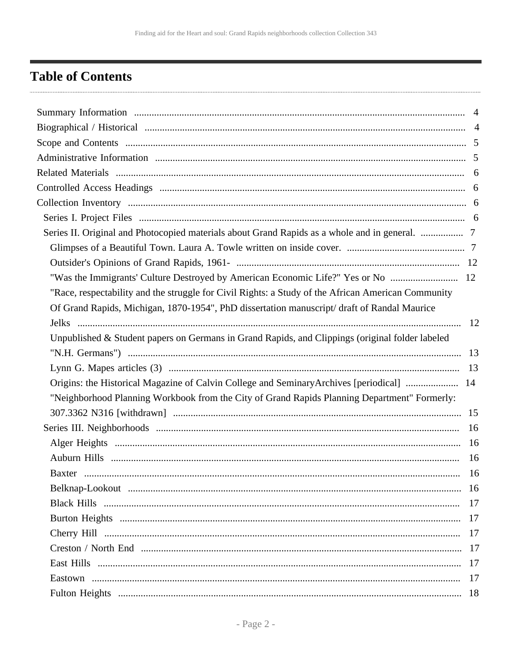## <span id="page-1-0"></span>**Table of Contents**

| Series II. Original and Photocopied materials about Grand Rapids as a whole and in general.  7     |     |
|----------------------------------------------------------------------------------------------------|-----|
|                                                                                                    |     |
|                                                                                                    |     |
|                                                                                                    |     |
| "Race, respectability and the struggle for Civil Rights: a Study of the African American Community |     |
| Of Grand Rapids, Michigan, 1870-1954", PhD dissertation manuscript/draft of Randal Maurice         |     |
|                                                                                                    |     |
| Unpublished & Student papers on Germans in Grand Rapids, and Clippings (original folder labeled    |     |
|                                                                                                    |     |
|                                                                                                    |     |
| Origins: the Historical Magazine of Calvin College and SeminaryArchives [periodical]  14           |     |
| "Neighborhood Planning Workbook from the City of Grand Rapids Planning Department" Formerly:       |     |
|                                                                                                    |     |
|                                                                                                    |     |
|                                                                                                    |     |
|                                                                                                    | 16  |
| Baxter                                                                                             | -16 |
|                                                                                                    |     |
|                                                                                                    |     |
|                                                                                                    |     |
|                                                                                                    |     |
|                                                                                                    |     |
|                                                                                                    |     |
|                                                                                                    |     |
|                                                                                                    |     |
|                                                                                                    |     |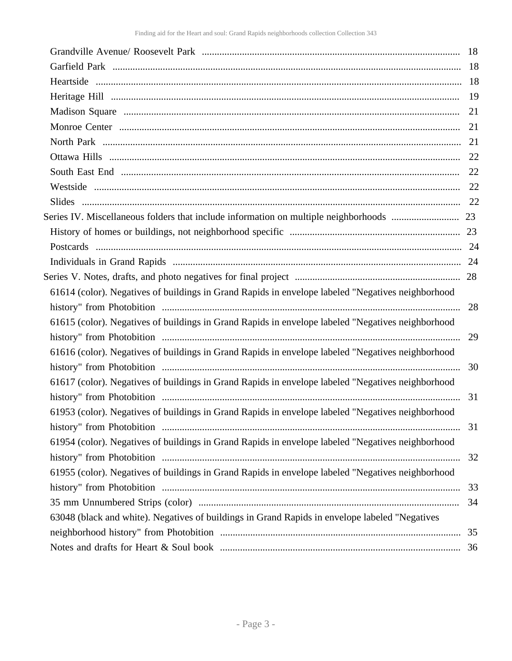| 61614 (color). Negatives of buildings in Grand Rapids in envelope labeled "Negatives neighborhood |    |
|---------------------------------------------------------------------------------------------------|----|
|                                                                                                   | 28 |
| 61615 (color). Negatives of buildings in Grand Rapids in envelope labeled "Negatives neighborhood |    |
|                                                                                                   | 29 |
| 61616 (color). Negatives of buildings in Grand Rapids in envelope labeled "Negatives neighborhood |    |
|                                                                                                   | 30 |
| 61617 (color). Negatives of buildings in Grand Rapids in envelope labeled "Negatives neighborhood |    |
|                                                                                                   | 31 |
| 61953 (color). Negatives of buildings in Grand Rapids in envelope labeled "Negatives neighborhood |    |
|                                                                                                   | 31 |
| 61954 (color). Negatives of buildings in Grand Rapids in envelope labeled "Negatives neighborhood |    |
|                                                                                                   | 32 |
| 61955 (color). Negatives of buildings in Grand Rapids in envelope labeled "Negatives neighborhood |    |
|                                                                                                   | 33 |
|                                                                                                   | 34 |
| 63048 (black and white). Negatives of buildings in Grand Rapids in envelope labeled "Negatives    |    |
|                                                                                                   | 35 |
|                                                                                                   |    |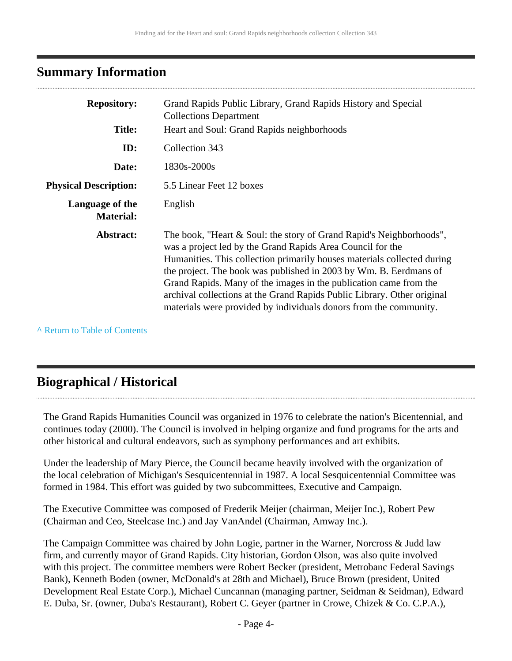### <span id="page-3-0"></span>**Summary Information**

| <b>Repository:</b>                  | Grand Rapids Public Library, Grand Rapids History and Special<br><b>Collections Department</b>                                                                                                                                                                                                                                                                                                                                                                                                         |
|-------------------------------------|--------------------------------------------------------------------------------------------------------------------------------------------------------------------------------------------------------------------------------------------------------------------------------------------------------------------------------------------------------------------------------------------------------------------------------------------------------------------------------------------------------|
| <b>Title:</b>                       | Heart and Soul: Grand Rapids neighborhoods                                                                                                                                                                                                                                                                                                                                                                                                                                                             |
| ID:                                 | Collection 343                                                                                                                                                                                                                                                                                                                                                                                                                                                                                         |
| Date:                               | 1830s-2000s                                                                                                                                                                                                                                                                                                                                                                                                                                                                                            |
| <b>Physical Description:</b>        | 5.5 Linear Feet 12 boxes                                                                                                                                                                                                                                                                                                                                                                                                                                                                               |
| Language of the<br><b>Material:</b> | English                                                                                                                                                                                                                                                                                                                                                                                                                                                                                                |
| Abstract:                           | The book, "Heart & Soul: the story of Grand Rapid's Neighborhoods",<br>was a project led by the Grand Rapids Area Council for the<br>Humanities. This collection primarily houses materials collected during<br>the project. The book was published in 2003 by Wm. B. Eerdmans of<br>Grand Rapids. Many of the images in the publication came from the<br>archival collections at the Grand Rapids Public Library. Other original<br>materials were provided by individuals donors from the community. |

**^** [Return to Table of Contents](#page-1-0)

### <span id="page-3-1"></span>**Biographical / Historical**

The Grand Rapids Humanities Council was organized in 1976 to celebrate the nation's Bicentennial, and continues today (2000). The Council is involved in helping organize and fund programs for the arts and other historical and cultural endeavors, such as symphony performances and art exhibits.

Under the leadership of Mary Pierce, the Council became heavily involved with the organization of the local celebration of Michigan's Sesquicentennial in 1987. A local Sesquicentennial Committee was formed in 1984. This effort was guided by two subcommittees, Executive and Campaign.

The Executive Committee was composed of Frederik Meijer (chairman, Meijer Inc.), Robert Pew (Chairman and Ceo, Steelcase Inc.) and Jay VanAndel (Chairman, Amway Inc.).

The Campaign Committee was chaired by John Logie, partner in the Warner, Norcross & Judd law firm, and currently mayor of Grand Rapids. City historian, Gordon Olson, was also quite involved with this project. The committee members were Robert Becker (president, Metrobanc Federal Savings Bank), Kenneth Boden (owner, McDonald's at 28th and Michael), Bruce Brown (president, United Development Real Estate Corp.), Michael Cuncannan (managing partner, Seidman & Seidman), Edward E. Duba, Sr. (owner, Duba's Restaurant), Robert C. Geyer (partner in Crowe, Chizek & Co. C.P.A.),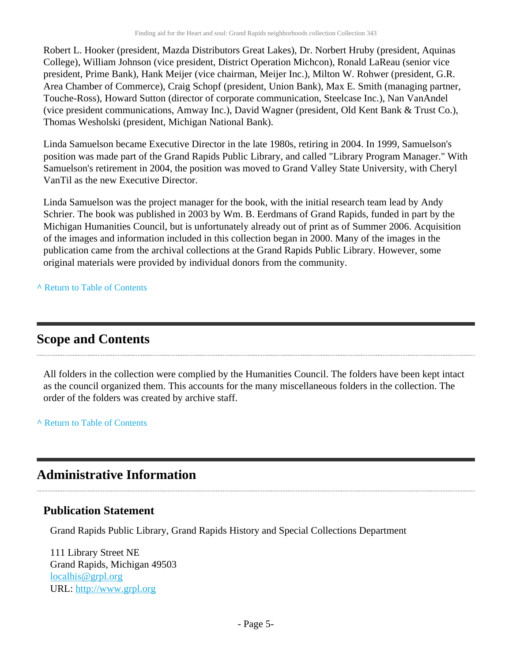Robert L. Hooker (president, Mazda Distributors Great Lakes), Dr. Norbert Hruby (president, Aquinas College), William Johnson (vice president, District Operation Michcon), Ronald LaReau (senior vice president, Prime Bank), Hank Meijer (vice chairman, Meijer Inc.), Milton W. Rohwer (president, G.R. Area Chamber of Commerce), Craig Schopf (president, Union Bank), Max E. Smith (managing partner, Touche-Ross), Howard Sutton (director of corporate communication, Steelcase Inc.), Nan VanAndel (vice president communications, Amway Inc.), David Wagner (president, Old Kent Bank & Trust Co.), Thomas Wesholski (president, Michigan National Bank).

Linda Samuelson became Executive Director in the late 1980s, retiring in 2004. In 1999, Samuelson's position was made part of the Grand Rapids Public Library, and called "Library Program Manager." With Samuelson's retirement in 2004, the position was moved to Grand Valley State University, with Cheryl VanTil as the new Executive Director.

Linda Samuelson was the project manager for the book, with the initial research team lead by Andy Schrier. The book was published in 2003 by Wm. B. Eerdmans of Grand Rapids, funded in part by the Michigan Humanities Council, but is unfortunately already out of print as of Summer 2006. Acquisition of the images and information included in this collection began in 2000. Many of the images in the publication came from the archival collections at the Grand Rapids Public Library. However, some original materials were provided by individual donors from the community.

**^** [Return to Table of Contents](#page-1-0)

### <span id="page-4-0"></span>**Scope and Contents**

All folders in the collection were complied by the Humanities Council. The folders have been kept intact as the council organized them. This accounts for the many miscellaneous folders in the collection. The order of the folders was created by archive staff.

**^** [Return to Table of Contents](#page-1-0)

### <span id="page-4-1"></span>**Administrative Information**

#### **Publication Statement**

Grand Rapids Public Library, Grand Rapids History and Special Collections Department

111 Library Street NE Grand Rapids, Michigan 49503 [localhis@grpl.org](mailto:localhis@grpl.org) URL:<http://www.grpl.org>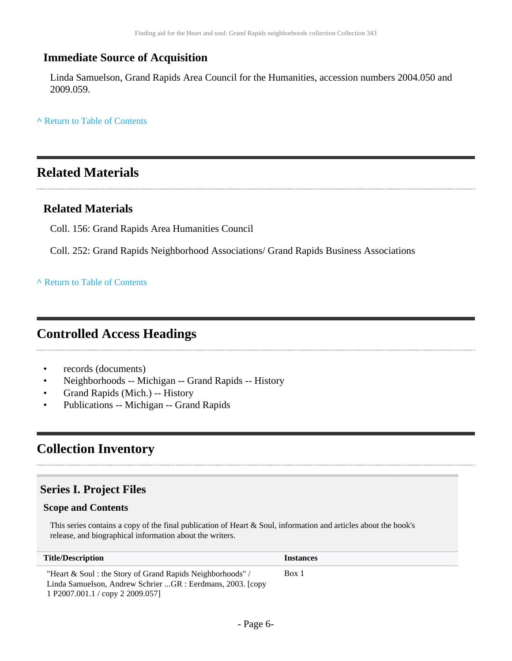#### **Immediate Source of Acquisition**

Linda Samuelson, Grand Rapids Area Council for the Humanities, accession numbers 2004.050 and 2009.059.

**^** [Return to Table of Contents](#page-1-0)

### <span id="page-5-0"></span>**Related Materials**

#### **Related Materials**

Coll. 156: Grand Rapids Area Humanities Council

Coll. 252: Grand Rapids Neighborhood Associations/ Grand Rapids Business Associations

**^** [Return to Table of Contents](#page-1-0)

### <span id="page-5-1"></span>**Controlled Access Headings**

- records (documents)
- Neighborhoods -- Michigan -- Grand Rapids -- History
- Grand Rapids (Mich.) -- History
- Publications -- Michigan -- Grand Rapids

### <span id="page-5-2"></span>**Collection Inventory**

#### <span id="page-5-3"></span>**Series I. Project Files**

#### **Scope and Contents**

This series contains a copy of the final publication of Heart & Soul, information and articles about the book's release, and biographical information about the writers.

| <b>Title/Description</b>                                                                                                  | <i><u><b>Instances</b></u></i> |
|---------------------------------------------------------------------------------------------------------------------------|--------------------------------|
| "Heart & Soul : the Story of Grand Rapids Neighborhoods" /<br>Linda Samuelson, Andrew Schrier GR : Eerdmans, 2003. [copy] | Box 1                          |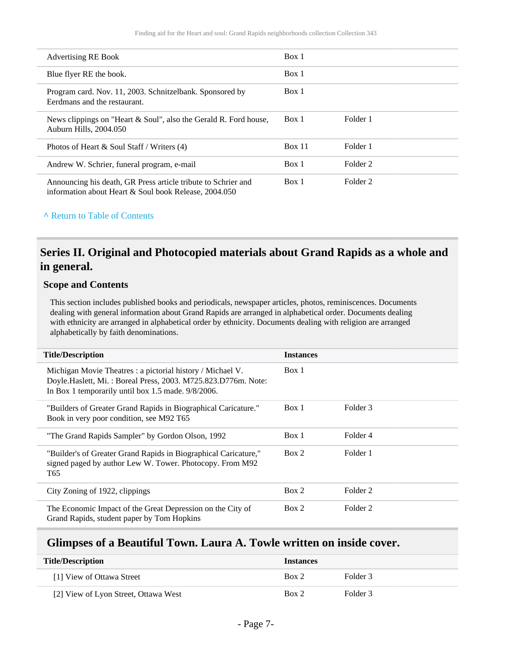| <b>Advertising RE Book</b>                                                                                             | Box 1  |          |
|------------------------------------------------------------------------------------------------------------------------|--------|----------|
| Blue flyer RE the book.                                                                                                | Box 1  |          |
| Program card. Nov. 11, 2003. Schnitzelbank. Sponsored by<br>Eerdmans and the restaurant.                               | Box 1  |          |
| News clippings on "Heart & Soul", also the Gerald R. Ford house,<br>Auburn Hills, 2004.050                             | Box 1  | Folder 1 |
| Photos of Heart $\&$ Soul Staff / Writers (4)                                                                          | Box 11 | Folder 1 |
| Andrew W. Schrier, funeral program, e-mail                                                                             | Box 1  | Folder 2 |
| Announcing his death, GR Press article tribute to Schrier and<br>information about Heart & Soul book Release, 2004.050 | Box 1  | Folder 2 |

#### **^** [Return to Table of Contents](#page-1-0)

#### <span id="page-6-0"></span>**Series II. Original and Photocopied materials about Grand Rapids as a whole and in general.**

#### **Scope and Contents**

This section includes published books and periodicals, newspaper articles, photos, reminiscences. Documents dealing with general information about Grand Rapids are arranged in alphabetical order. Documents dealing with ethnicity are arranged in alphabetical order by ethnicity. Documents dealing with religion are arranged alphabetically by faith denominations.

| <b>Title/Description</b>                                                                                                                                                         | <b>Instances</b> |          |
|----------------------------------------------------------------------------------------------------------------------------------------------------------------------------------|------------------|----------|
| Michigan Movie Theatres: a pictorial history / Michael V.<br>Doyle.Haslett, Mi.: Boreal Press, 2003. M725.823.D776m. Note:<br>In Box 1 temporarily until box 1.5 made. 9/8/2006. | Box 1            |          |
| "Builders of Greater Grand Rapids in Biographical Caricature."<br>Book in very poor condition, see M92 T65                                                                       | Box 1            | Folder 3 |
| "The Grand Rapids Sampler" by Gordon Olson, 1992                                                                                                                                 | Box 1            | Folder 4 |
| "Builder's of Greater Grand Rapids in Biographical Caricature,"<br>signed paged by author Lew W. Tower. Photocopy. From M92<br>T65                                               | Box 2            | Folder 1 |
| City Zoning of 1922, clippings                                                                                                                                                   | Box 2            | Folder 2 |
| The Economic Impact of the Great Depression on the City of<br>Grand Rapids, student paper by Tom Hopkins                                                                         | Box 2            | Folder 2 |

#### <span id="page-6-1"></span>**Glimpses of a Beautiful Town. Laura A. Towle written on inside cover.**

| <b>Title/Description</b>             | <b>Instances</b> |          |
|--------------------------------------|------------------|----------|
| [1] View of Ottawa Street            | Box 2            | Folder 3 |
| [2] View of Lyon Street, Ottawa West | Box 2            | Folder 3 |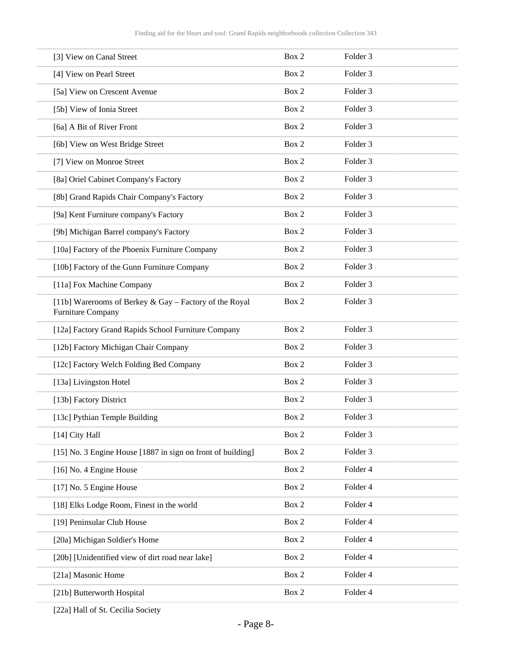| [3] View on Canal Street                                                    | Box 2 | Folder <sub>3</sub> |
|-----------------------------------------------------------------------------|-------|---------------------|
| [4] View on Pearl Street                                                    | Box 2 | Folder <sub>3</sub> |
| [5a] View on Crescent Avenue                                                | Box 2 | Folder <sub>3</sub> |
| [5b] View of Ionia Street                                                   | Box 2 | Folder <sub>3</sub> |
| [6a] A Bit of River Front                                                   | Box 2 | Folder <sub>3</sub> |
| [6b] View on West Bridge Street                                             | Box 2 | Folder <sub>3</sub> |
| [7] View on Monroe Street                                                   | Box 2 | Folder <sub>3</sub> |
| [8a] Oriel Cabinet Company's Factory                                        | Box 2 | Folder <sub>3</sub> |
| [8b] Grand Rapids Chair Company's Factory                                   | Box 2 | Folder <sub>3</sub> |
| [9a] Kent Furniture company's Factory                                       | Box 2 | Folder <sub>3</sub> |
| [9b] Michigan Barrel company's Factory                                      | Box 2 | Folder <sub>3</sub> |
| [10a] Factory of the Phoenix Furniture Company                              | Box 2 | Folder <sub>3</sub> |
| [10b] Factory of the Gunn Furniture Company                                 | Box 2 | Folder <sub>3</sub> |
| [11a] Fox Machine Company                                                   | Box 2 | Folder <sub>3</sub> |
| [11b] Warerooms of Berkey & Gay - Factory of the Royal<br>Furniture Company | Box 2 | Folder <sub>3</sub> |
| [12a] Factory Grand Rapids School Furniture Company                         | Box 2 | Folder <sub>3</sub> |
| [12b] Factory Michigan Chair Company                                        | Box 2 | Folder <sub>3</sub> |
| [12c] Factory Welch Folding Bed Company                                     | Box 2 | Folder <sub>3</sub> |
| [13a] Livingston Hotel                                                      | Box 2 | Folder <sub>3</sub> |
| [13b] Factory District                                                      | Box 2 | Folder <sub>3</sub> |
| [13c] Pythian Temple Building                                               | Box 2 | Folder <sub>3</sub> |
| [14] City Hall                                                              | Box 2 | Folder 3            |
| [15] No. 3 Engine House [1887 in sign on front of building]                 | Box 2 | Folder 3            |
| [16] No. 4 Engine House                                                     | Box 2 | Folder 4            |
| [17] No. 5 Engine House                                                     | Box 2 | Folder 4            |
| [18] Elks Lodge Room, Finest in the world                                   | Box 2 | Folder 4            |
| [19] Peninsular Club House                                                  | Box 2 | Folder 4            |
| [20a] Michigan Soldier's Home                                               | Box 2 | Folder 4            |
| [20b] [Unidentified view of dirt road near lake]                            | Box 2 | Folder 4            |
| [21a] Masonic Home                                                          | Box 2 | Folder 4            |
| [21b] Butterworth Hospital                                                  | Box 2 | Folder 4            |

[22a] Hall of St. Cecilia Society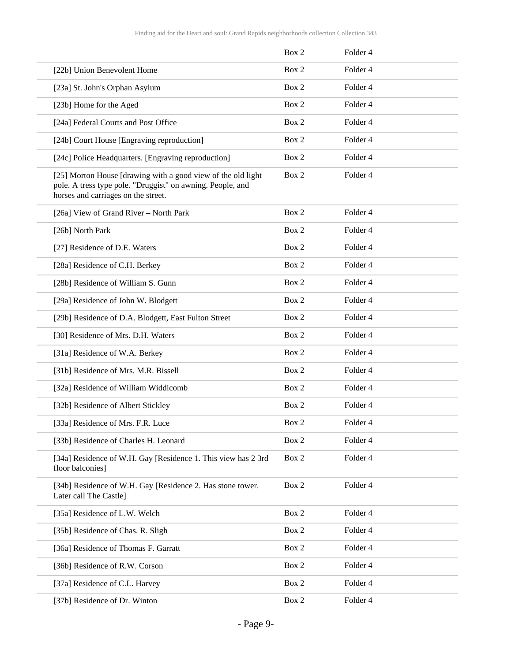|                                                                                                                                                                   | Box 2 | Folder 4            |
|-------------------------------------------------------------------------------------------------------------------------------------------------------------------|-------|---------------------|
| [22b] Union Benevolent Home                                                                                                                                       | Box 2 | Folder 4            |
| [23a] St. John's Orphan Asylum                                                                                                                                    | Box 2 | Folder 4            |
| [23b] Home for the Aged                                                                                                                                           | Box 2 | Folder 4            |
| [24a] Federal Courts and Post Office                                                                                                                              | Box 2 | Folder 4            |
| [24b] Court House [Engraving reproduction]                                                                                                                        | Box 2 | Folder <sub>4</sub> |
| [24c] Police Headquarters. [Engraving reproduction]                                                                                                               | Box 2 | Folder 4            |
| [25] Morton House [drawing with a good view of the old light<br>pole. A tress type pole. "Druggist" on awning. People, and<br>horses and carriages on the street. | Box 2 | Folder 4            |
| [26a] View of Grand River - North Park                                                                                                                            | Box 2 | Folder 4            |
| [26b] North Park                                                                                                                                                  | Box 2 | Folder 4            |
| [27] Residence of D.E. Waters                                                                                                                                     | Box 2 | Folder <sub>4</sub> |
| [28a] Residence of C.H. Berkey                                                                                                                                    | Box 2 | Folder 4            |
| [28b] Residence of William S. Gunn                                                                                                                                | Box 2 | Folder 4            |
| [29a] Residence of John W. Blodgett                                                                                                                               | Box 2 | Folder 4            |
| [29b] Residence of D.A. Blodgett, East Fulton Street                                                                                                              | Box 2 | Folder 4            |
| [30] Residence of Mrs. D.H. Waters                                                                                                                                | Box 2 | Folder 4            |
| [31a] Residence of W.A. Berkey                                                                                                                                    | Box 2 | Folder 4            |
| [31b] Residence of Mrs. M.R. Bissell                                                                                                                              | Box 2 | Folder 4            |
| [32a] Residence of William Widdicomb                                                                                                                              | Box 2 | Folder 4            |
| [32b] Residence of Albert Stickley                                                                                                                                | Box 2 | Folder 4            |
| [33a] Residence of Mrs. F.R. Luce                                                                                                                                 | Box 2 | Folder 4            |
| [33b] Residence of Charles H. Leonard                                                                                                                             | Box 2 | Folder 4            |
| [34a] Residence of W.H. Gay [Residence 1. This view has 2 3rd<br>floor balconies]                                                                                 | Box 2 | Folder 4            |
| [34b] Residence of W.H. Gay [Residence 2. Has stone tower.<br>Later call The Castle]                                                                              | Box 2 | Folder 4            |
| [35a] Residence of L.W. Welch                                                                                                                                     | Box 2 | Folder 4            |
| [35b] Residence of Chas. R. Sligh                                                                                                                                 | Box 2 | Folder 4            |
| [36a] Residence of Thomas F. Garratt                                                                                                                              | Box 2 | Folder 4            |
| [36b] Residence of R.W. Corson                                                                                                                                    | Box 2 | Folder 4            |
| [37a] Residence of C.L. Harvey                                                                                                                                    | Box 2 | Folder 4            |
| [37b] Residence of Dr. Winton                                                                                                                                     | Box 2 | Folder 4            |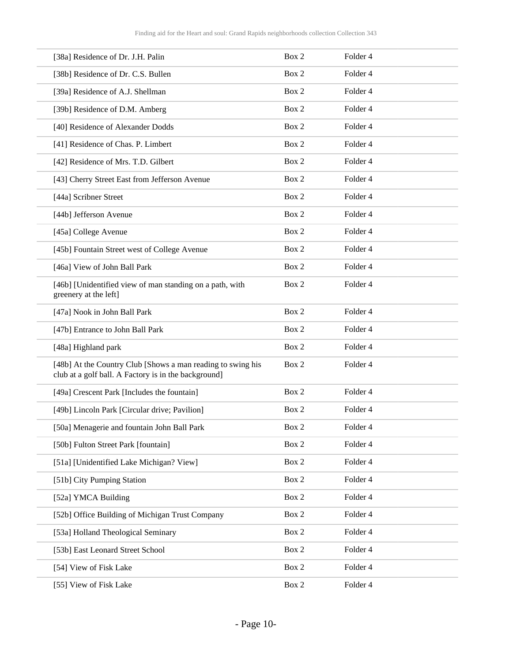| [38a] Residence of Dr. J.H. Palin                                                                                   | Box 2 | Folder <sub>4</sub> |
|---------------------------------------------------------------------------------------------------------------------|-------|---------------------|
| [38b] Residence of Dr. C.S. Bullen                                                                                  | Box 2 | Folder 4            |
| [39a] Residence of A.J. Shellman                                                                                    | Box 2 | Folder 4            |
| [39b] Residence of D.M. Amberg                                                                                      | Box 2 | Folder 4            |
| [40] Residence of Alexander Dodds                                                                                   | Box 2 | Folder 4            |
| [41] Residence of Chas. P. Limbert                                                                                  | Box 2 | Folder 4            |
| [42] Residence of Mrs. T.D. Gilbert                                                                                 | Box 2 | Folder 4            |
| [43] Cherry Street East from Jefferson Avenue                                                                       | Box 2 | Folder 4            |
| [44a] Scribner Street                                                                                               | Box 2 | Folder 4            |
| [44b] Jefferson Avenue                                                                                              | Box 2 | Folder 4            |
| [45a] College Avenue                                                                                                | Box 2 | Folder 4            |
| [45b] Fountain Street west of College Avenue                                                                        | Box 2 | Folder 4            |
| [46a] View of John Ball Park                                                                                        | Box 2 | Folder 4            |
| [46b] [Unidentified view of man standing on a path, with<br>greenery at the left]                                   | Box 2 | Folder 4            |
| [47a] Nook in John Ball Park                                                                                        | Box 2 | Folder 4            |
| [47b] Entrance to John Ball Park                                                                                    | Box 2 | Folder 4            |
| [48a] Highland park                                                                                                 | Box 2 | Folder 4            |
| [48b] At the Country Club [Shows a man reading to swing his<br>club at a golf ball. A Factory is in the background] | Box 2 | Folder 4            |
| [49a] Crescent Park [Includes the fountain]                                                                         | Box 2 | Folder 4            |
| [49b] Lincoln Park [Circular drive; Pavilion]                                                                       | Box 2 | Folder 4            |
| [50a] Menagerie and fountain John Ball Park                                                                         | Box 2 | Folder 4            |
| [50b] Fulton Street Park [fountain]                                                                                 | Box 2 | Folder 4            |
| [51a] [Unidentified Lake Michigan? View]                                                                            | Box 2 | Folder 4            |
| [51b] City Pumping Station                                                                                          | Box 2 | Folder 4            |
| [52a] YMCA Building                                                                                                 | Box 2 | Folder 4            |
| [52b] Office Building of Michigan Trust Company                                                                     | Box 2 | Folder 4            |
| [53a] Holland Theological Seminary                                                                                  | Box 2 | Folder 4            |
| [53b] East Leonard Street School                                                                                    | Box 2 | Folder 4            |
| [54] View of Fisk Lake                                                                                              | Box 2 | Folder 4            |
| [55] View of Fisk Lake                                                                                              | Box 2 | Folder 4            |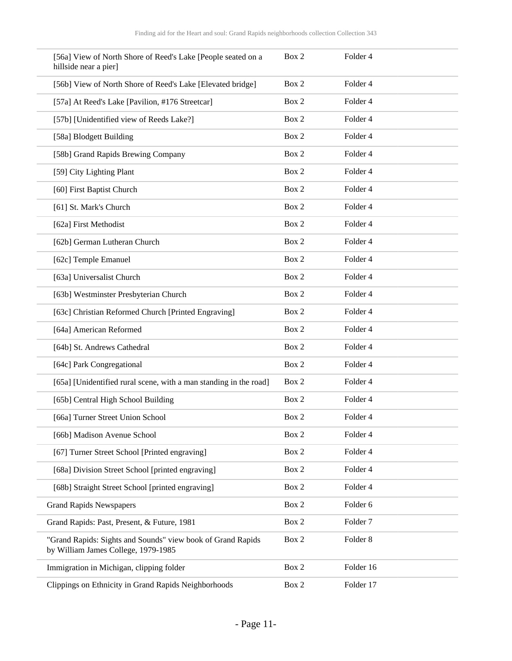| [56a] View of North Shore of Reed's Lake [People seated on a<br>hillside near a pier]              | Box 2 | Folder 4            |
|----------------------------------------------------------------------------------------------------|-------|---------------------|
| [56b] View of North Shore of Reed's Lake [Elevated bridge]                                         | Box 2 | Folder 4            |
| [57a] At Reed's Lake [Pavilion, #176 Streetcar]                                                    | Box 2 | Folder 4            |
| [57b] [Unidentified view of Reeds Lake?]                                                           | Box 2 | Folder 4            |
| [58a] Blodgett Building                                                                            | Box 2 | Folder 4            |
| [58b] Grand Rapids Brewing Company                                                                 | Box 2 | Folder 4            |
| [59] City Lighting Plant                                                                           | Box 2 | Folder 4            |
| [60] First Baptist Church                                                                          | Box 2 | Folder 4            |
| [61] St. Mark's Church                                                                             | Box 2 | Folder 4            |
| [62a] First Methodist                                                                              | Box 2 | Folder 4            |
| [62b] German Lutheran Church                                                                       | Box 2 | Folder 4            |
| [62c] Temple Emanuel                                                                               | Box 2 | Folder 4            |
| [63a] Universalist Church                                                                          | Box 2 | Folder 4            |
| [63b] Westminster Presbyterian Church                                                              | Box 2 | Folder 4            |
| [63c] Christian Reformed Church [Printed Engraving]                                                | Box 2 | Folder 4            |
| [64a] American Reformed                                                                            | Box 2 | Folder 4            |
| [64b] St. Andrews Cathedral                                                                        | Box 2 | Folder 4            |
| [64c] Park Congregational                                                                          | Box 2 | Folder 4            |
| [65a] [Unidentified rural scene, with a man standing in the road]                                  | Box 2 | Folder 4            |
| [65b] Central High School Building                                                                 | Box 2 | Folder 4            |
| [66a] Turner Street Union School                                                                   | Box 2 | Folder 4            |
| [66b] Madison Avenue School                                                                        | Box 2 | Folder 4            |
| [67] Turner Street School [Printed engraving]                                                      | Box 2 | Folder 4            |
| [68a] Division Street School [printed engraving]                                                   | Box 2 | Folder 4            |
| [68b] Straight Street School [printed engraving]                                                   | Box 2 | Folder 4            |
| <b>Grand Rapids Newspapers</b>                                                                     | Box 2 | Folder 6            |
| Grand Rapids: Past, Present, & Future, 1981                                                        | Box 2 | Folder <sub>7</sub> |
| "Grand Rapids: Sights and Sounds" view book of Grand Rapids<br>by William James College, 1979-1985 | Box 2 | Folder <sub>8</sub> |
| Immigration in Michigan, clipping folder                                                           | Box 2 | Folder 16           |
| Clippings on Ethnicity in Grand Rapids Neighborhoods                                               | Box 2 | Folder 17           |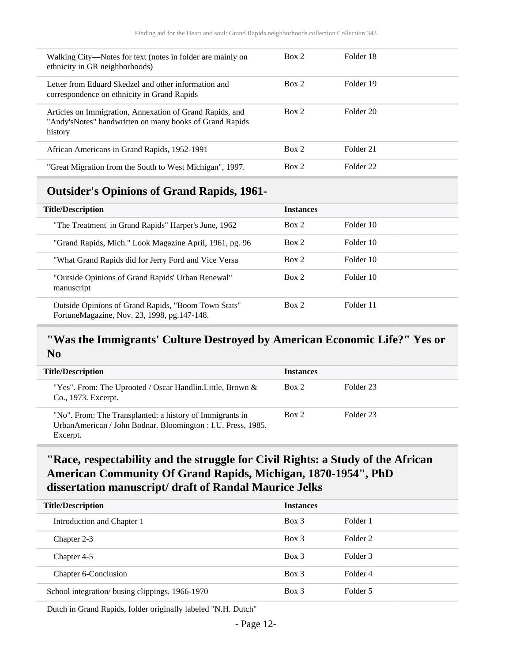| Walking City—Notes for text (notes in folder are mainly on<br>ethnicity in GR neighborhoods)                                    | Box 2 | Folder 18 |
|---------------------------------------------------------------------------------------------------------------------------------|-------|-----------|
| Letter from Eduard Skedzel and other information and<br>correspondence on ethnicity in Grand Rapids                             | Box 2 | Folder 19 |
| Articles on Immigration, Annexation of Grand Rapids, and<br>"Andy's Notes" handwritten on many books of Grand Rapids<br>history | Box 2 | Folder 20 |
| African Americans in Grand Rapids, 1952-1991                                                                                    | Box 2 | Folder 21 |
| "Great Migration from the South to West Michigan", 1997.                                                                        | Box 2 | Folder 22 |

### <span id="page-11-0"></span>**Outsider's Opinions of Grand Rapids, 1961-**

| <b>Title/Description</b>                                                                           | <b>Instances</b> |           |  |
|----------------------------------------------------------------------------------------------------|------------------|-----------|--|
| "The Treatment' in Grand Rapids" Harper's June, 1962                                               | Box 2            | Folder 10 |  |
| "Grand Rapids, Mich." Look Magazine April, 1961, pg. 96                                            | Box 2            | Folder 10 |  |
| "What Grand Rapids did for Jerry Ford and Vice Versa                                               | Box 2            | Folder 10 |  |
| "Outside Opinions of Grand Rapids' Urban Renewal"<br>manuscript                                    | Box 2            | Folder 10 |  |
| Outside Opinions of Grand Rapids, "Boom Town Stats"<br>FortuneMagazine, Nov. 23, 1998, pg.147-148. | Box 2            | Folder 11 |  |

### <span id="page-11-1"></span>**"Was the Immigrants' Culture Destroyed by American Economic Life?" Yes or No**

| <b>Title/Description</b>                                                                                                             | <b>Instances</b> |           |
|--------------------------------------------------------------------------------------------------------------------------------------|------------------|-----------|
| "Yes". From: The Uprooted / Oscar Handlin. Little, Brown $\&$<br>Co., 1973. Excerpt.                                                 | Box 2            | Folder 23 |
| "No". From: The Transplanted: a history of Immigrants in<br>UrbanAmerican / John Bodnar. Bloomington : I.U. Press, 1985.<br>Excerpt. | Box 2            | Folder 23 |

### <span id="page-11-2"></span>**"Race, respectability and the struggle for Civil Rights: a Study of the African American Community Of Grand Rapids, Michigan, 1870-1954", PhD dissertation manuscript/ draft of Randal Maurice Jelks**

| <b>Title/Description</b>                        | <b>Instances</b> |          |
|-------------------------------------------------|------------------|----------|
| Introduction and Chapter 1                      | $Box$ 3          | Folder 1 |
| Chapter 2-3                                     | $Box$ 3          | Folder 2 |
| Chapter 4-5                                     | Box 3            | Folder 3 |
| Chapter 6-Conclusion                            | $Box$ 3          | Folder 4 |
| School integration/ busing clippings, 1966-1970 | $Box\ 3$         | Folder 5 |

Dutch in Grand Rapids, folder originally labeled "N.H. Dutch"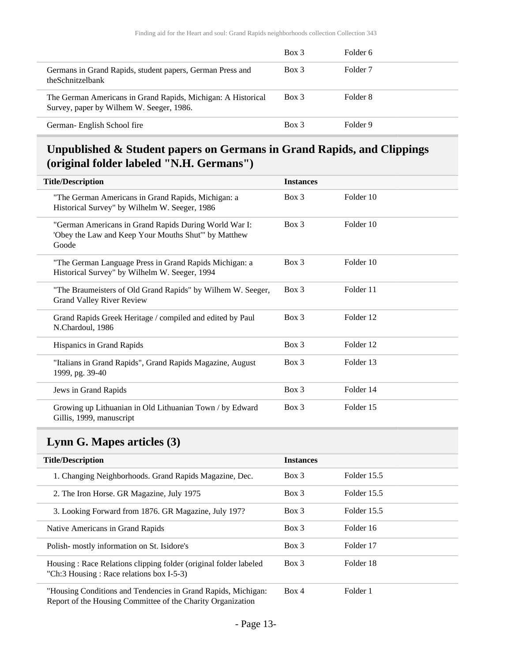|                                                                                                          | $Box$ 3 | Folder 6            |
|----------------------------------------------------------------------------------------------------------|---------|---------------------|
| Germans in Grand Rapids, student papers, German Press and<br>theSchnitzelbank                            | Box 3   | Folder <sub>7</sub> |
| The German Americans in Grand Rapids, Michigan: A Historical<br>Survey, paper by Wilhem W. Seeger, 1986. | Box 3   | Folder 8            |
| German- English School fire                                                                              | Box 3   | Folder 9            |

### <span id="page-12-0"></span>**Unpublished & Student papers on Germans in Grand Rapids, and Clippings (original folder labeled "N.H. Germans")**

| <b>Title/Description</b>                                                                                               | <b>Instances</b> |           |
|------------------------------------------------------------------------------------------------------------------------|------------------|-----------|
| "The German Americans in Grand Rapids, Michigan: a<br>Historical Survey" by Wilhelm W. Seeger, 1986                    | $Box$ 3          | Folder 10 |
| "German Americans in Grand Rapids During World War I:<br>'Obey the Law and Keep Your Mouths Shut'" by Matthew<br>Goode | $Box\ 3$         | Folder 10 |
| "The German Language Press in Grand Rapids Michigan: a<br>Historical Survey" by Wilhelm W. Seeger, 1994                | $Box$ 3          | Folder 10 |
| "The Braumeisters of Old Grand Rapids" by Wilhem W. Seeger,<br><b>Grand Valley River Review</b>                        | Box 3            | Folder 11 |
| Grand Rapids Greek Heritage / compiled and edited by Paul<br>N.Chardoul, 1986                                          | Box 3            | Folder 12 |
| Hispanics in Grand Rapids                                                                                              | $Box\ 3$         | Folder 12 |
| "Italians in Grand Rapids", Grand Rapids Magazine, August<br>1999, pg. 39-40                                           | Box 3            | Folder 13 |
| Jews in Grand Rapids                                                                                                   | Box 3            | Folder 14 |
| Growing up Lithuanian in Old Lithuanian Town / by Edward<br>Gillis, 1999, manuscript                                   | $Box$ 3          | Folder 15 |

### <span id="page-12-1"></span>**Lynn G. Mapes articles (3)**

| <b>Title/Description</b>                                                                                                     | <b>Instances</b> |             |
|------------------------------------------------------------------------------------------------------------------------------|------------------|-------------|
| 1. Changing Neighborhoods. Grand Rapids Magazine, Dec.                                                                       | $Box$ 3          | Folder 15.5 |
| 2. The Iron Horse. GR Magazine, July 1975                                                                                    | $Box$ 3          | Folder 15.5 |
| 3. Looking Forward from 1876. GR Magazine, July 197?                                                                         | Box 3            | Folder 15.5 |
| Native Americans in Grand Rapids                                                                                             | Box 3            | Folder 16   |
| Polish-mostly information on St. Isidore's                                                                                   | $Box\ 3$         | Folder 17   |
| Housing: Race Relations clipping folder (original folder labeled)<br>"Ch:3 Housing: Race relations box I-5-3)                | $Box$ 3          | Folder 18   |
| "Housing Conditions and Tendencies in Grand Rapids, Michigan:<br>Report of the Housing Committee of the Charity Organization | Box 4            | Folder 1    |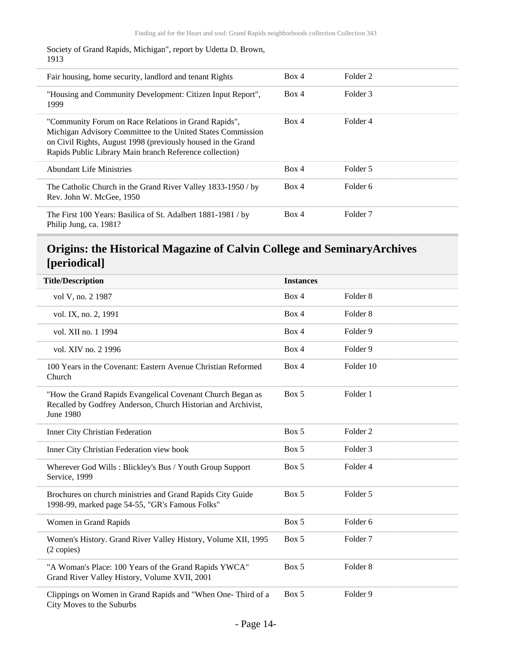Society of Grand Rapids, Michigan", report by Udetta D. Brown, 1913

| Fair housing, home security, landlord and tenant Rights                                                                                                                                                                                        | Box 4 | Folder 2 |
|------------------------------------------------------------------------------------------------------------------------------------------------------------------------------------------------------------------------------------------------|-------|----------|
| "Housing and Community Development: Citizen Input Report",<br>1999                                                                                                                                                                             | Box 4 | Folder 3 |
| "Community Forum on Race Relations in Grand Rapids",<br>Michigan Advisory Committee to the United States Commission<br>on Civil Rights, August 1998 (previously housed in the Grand<br>Rapids Public Library Main branch Reference collection) | Box 4 | Folder 4 |
| <b>Abundant Life Ministries</b>                                                                                                                                                                                                                | Box 4 | Folder 5 |
| The Catholic Church in the Grand River Valley 1833-1950 / by<br>Rev. John W. McGee, 1950                                                                                                                                                       | Box 4 | Folder 6 |
| The First 100 Years: Basilica of St. Adalbert 1881-1981 / by<br>Philip Jung, ca. 1981?                                                                                                                                                         | Box 4 | Folder 7 |

### <span id="page-13-0"></span>**Origins: the Historical Magazine of Calvin College and SeminaryArchives [periodical]**

| <b>Title/Description</b>                                                                                                                        | <b>Instances</b> |                     |
|-------------------------------------------------------------------------------------------------------------------------------------------------|------------------|---------------------|
| vol V, no. 2 1987                                                                                                                               | Box 4            | Folder <sub>8</sub> |
| vol. IX, no. 2, 1991                                                                                                                            | Box 4            | Folder <sub>8</sub> |
| vol. XII no. 1 1994                                                                                                                             | Box 4            | Folder 9            |
| vol. XIV no. 2 1996                                                                                                                             | Box 4            | Folder 9            |
| 100 Years in the Covenant: Eastern Avenue Christian Reformed<br>Church                                                                          | Box 4            | Folder 10           |
| "How the Grand Rapids Evangelical Covenant Church Began as<br>Recalled by Godfrey Anderson, Church Historian and Archivist,<br><b>June 1980</b> | Box 5            | Folder 1            |
| Inner City Christian Federation                                                                                                                 | Box 5            | Folder <sub>2</sub> |
| Inner City Christian Federation view book                                                                                                       | Box 5            | Folder <sub>3</sub> |
| Wherever God Wills: Blickley's Bus / Youth Group Support<br>Service, 1999                                                                       | Box 5            | Folder 4            |
| Brochures on church ministries and Grand Rapids City Guide<br>1998-99, marked page 54-55, "GR's Famous Folks"                                   | Box 5            | Folder 5            |
| Women in Grand Rapids                                                                                                                           | Box 5            | Folder <sub>6</sub> |
| Women's History. Grand River Valley History, Volume XII, 1995<br>(2 copies)                                                                     | Box 5            | Folder <sub>7</sub> |
| "A Woman's Place: 100 Years of the Grand Rapids YWCA"<br>Grand River Valley History, Volume XVII, 2001                                          | Box 5            | Folder <sub>8</sub> |
| Clippings on Women in Grand Rapids and "When One-Third of a<br>City Moves to the Suburbs                                                        | Box 5            | Folder 9            |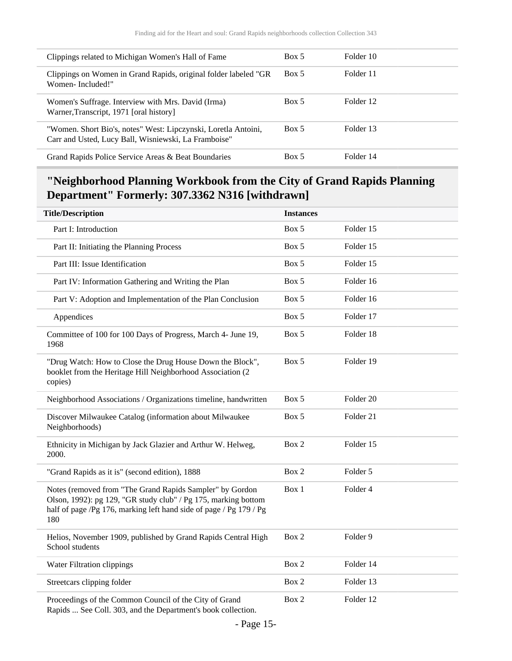| Clippings related to Michigan Women's Hall of Fame                                                                     | Box 5 | Folder 10 |
|------------------------------------------------------------------------------------------------------------------------|-------|-----------|
| Clippings on Women in Grand Rapids, original folder labeled "GR<br>Women-Included!"                                    | Box 5 | Folder 11 |
| Women's Suffrage. Interview with Mrs. David (Irma)<br>Warner, Transcript, 1971 [oral history]                          | Box 5 | Folder 12 |
| "Women. Short Bio's, notes" West: Lipczynski, Loretla Antoini,<br>Carr and Usted, Lucy Ball, Wisniewski, La Framboise" | Box 5 | Folder 13 |
| Grand Rapids Police Service Areas & Beat Boundaries                                                                    | Box 5 | Folder 14 |

### <span id="page-14-0"></span>**"Neighborhood Planning Workbook from the City of Grand Rapids Planning Department" Formerly: 307.3362 N316 [withdrawn]**

| <b>Title/Description</b>                                                                                                                                                                                | <b>Instances</b> |                      |
|---------------------------------------------------------------------------------------------------------------------------------------------------------------------------------------------------------|------------------|----------------------|
| Part I: Introduction                                                                                                                                                                                    | Box 5            | Folder 15            |
| Part II: Initiating the Planning Process                                                                                                                                                                | Box 5            | Folder 15            |
| Part III: Issue Identification                                                                                                                                                                          | Box 5            | Folder 15            |
| Part IV: Information Gathering and Writing the Plan                                                                                                                                                     | Box 5            | Folder 16            |
| Part V: Adoption and Implementation of the Plan Conclusion                                                                                                                                              | Box 5            | Folder 16            |
| Appendices                                                                                                                                                                                              | Box 5            | Folder 17            |
| Committee of 100 for 100 Days of Progress, March 4- June 19,<br>1968                                                                                                                                    | Box 5            | Folder 18            |
| "Drug Watch: How to Close the Drug House Down the Block",<br>booklet from the Heritage Hill Neighborhood Association (2<br>copies)                                                                      | Box 5            | Folder 19            |
| Neighborhood Associations / Organizations timeline, handwritten                                                                                                                                         | Box 5            | Folder <sub>20</sub> |
| Discover Milwaukee Catalog (information about Milwaukee<br>Neighborhoods)                                                                                                                               | Box 5            | Folder 21            |
| Ethnicity in Michigan by Jack Glazier and Arthur W. Helweg,<br>2000.                                                                                                                                    | Box 2            | Folder 15            |
| "Grand Rapids as it is" (second edition), 1888                                                                                                                                                          | Box 2            | Folder 5             |
| Notes (removed from "The Grand Rapids Sampler" by Gordon<br>Olson, 1992): pg 129, "GR study club" / Pg 175, marking bottom<br>half of page /Pg 176, marking left hand side of page / Pg 179 / Pg<br>180 | Box 1            | Folder 4             |
| Helios, November 1909, published by Grand Rapids Central High<br>School students                                                                                                                        | Box 2            | Folder 9             |
| Water Filtration clippings                                                                                                                                                                              | Box 2            | Folder 14            |
| Streetcars clipping folder                                                                                                                                                                              | Box 2            | Folder 13            |
| Proceedings of the Common Council of the City of Grand<br>Rapids  See Coll. 303, and the Department's book collection.                                                                                  | Box 2            | Folder 12            |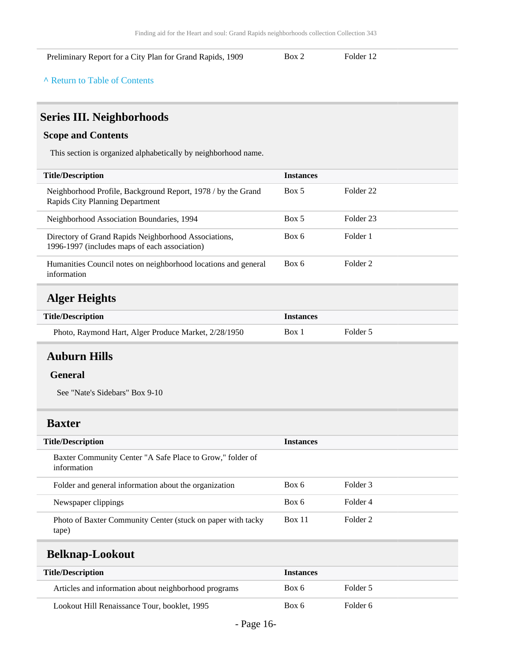#### Preliminary Report for a City Plan for Grand Rapids, 1909 Box 2 Folder 12

#### **^** [Return to Table of Contents](#page-1-0)

### <span id="page-15-0"></span>**Series III. Neighborhoods**

#### **Scope and Contents**

This section is organized alphabetically by neighborhood name.

| <b>Instances</b> |                     |
|------------------|---------------------|
| Box 5            | Folder 22           |
| Box 5            | Folder 23           |
| Box 6            | Folder 1            |
| Box 6            | Folder <sub>2</sub> |
|                  |                     |

## <span id="page-15-1"></span>**Alger Heights**

| <b>Title/Description</b>                             | <i><u><b>Instances</b></u></i> |          |
|------------------------------------------------------|--------------------------------|----------|
| Photo, Raymond Hart, Alger Produce Market, 2/28/1950 | Box 1                          | Folder 5 |

#### <span id="page-15-2"></span>**Auburn Hills**

#### **General**

See "Nate's Sidebars" Box 9-10

#### <span id="page-15-3"></span>**Baxter**

| <b>Title/Description</b>                                                 | <b>Instances</b> |          |
|--------------------------------------------------------------------------|------------------|----------|
| Baxter Community Center "A Safe Place to Grow," folder of<br>information |                  |          |
| Folder and general information about the organization                    | Box 6            | Folder 3 |
| Newspaper clippings                                                      | Box 6            | Folder 4 |
| Photo of Baxter Community Center (stuck on paper with tacky<br>(tape)    | <b>Box 11</b>    | Folder 2 |

#### <span id="page-15-4"></span>**Belknap-Lookout**

| <b>Title/Description</b>                             | <b>Instances</b> |          |
|------------------------------------------------------|------------------|----------|
| Articles and information about neighborhood programs | Box 6            | Folder 5 |
| Lookout Hill Renaissance Tour, booklet, 1995         | Box 6            | Folder 6 |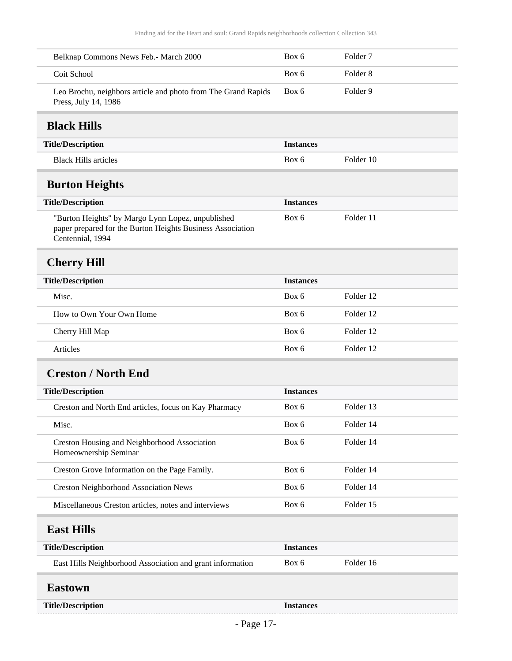<span id="page-16-5"></span><span id="page-16-4"></span><span id="page-16-3"></span><span id="page-16-2"></span><span id="page-16-1"></span><span id="page-16-0"></span>

| Belknap Commons News Feb.- March 2000                                                                                               | Box 6            | Folder <sub>7</sub> |  |
|-------------------------------------------------------------------------------------------------------------------------------------|------------------|---------------------|--|
| Coit School                                                                                                                         | Box 6            | Folder <sub>8</sub> |  |
| Leo Brochu, neighbors article and photo from The Grand Rapids<br>Press, July 14, 1986                                               | Box 6            | Folder 9            |  |
| <b>Black Hills</b>                                                                                                                  |                  |                     |  |
| <b>Title/Description</b>                                                                                                            | <b>Instances</b> |                     |  |
| <b>Black Hills articles</b>                                                                                                         | Box 6            | Folder 10           |  |
| <b>Burton Heights</b>                                                                                                               |                  |                     |  |
| <b>Title/Description</b>                                                                                                            | <b>Instances</b> |                     |  |
| "Burton Heights" by Margo Lynn Lopez, unpublished<br>paper prepared for the Burton Heights Business Association<br>Centennial, 1994 | Box 6            | Folder 11           |  |
| <b>Cherry Hill</b>                                                                                                                  |                  |                     |  |
| <b>Title/Description</b>                                                                                                            | <b>Instances</b> |                     |  |
| Misc.                                                                                                                               | Box 6            | Folder 12           |  |
| How to Own Your Own Home                                                                                                            | Box 6            | Folder 12           |  |
| Cherry Hill Map                                                                                                                     | Box 6            | Folder 12           |  |
| Articles                                                                                                                            | Box 6            | Folder 12           |  |
| <b>Creston / North End</b>                                                                                                          |                  |                     |  |
| <b>Title/Description</b>                                                                                                            | <b>Instances</b> |                     |  |
| Creston and North End articles, focus on Kay Pharmacy                                                                               | Box 6            | Folder 13           |  |
| Misc.                                                                                                                               | Box 6            | Folder 14           |  |
| Creston Housing and Neighborhood Association<br>Homeownership Seminar                                                               | Box 6            | Folder 14           |  |
| Creston Grove Information on the Page Family.                                                                                       | Box 6            | Folder 14           |  |
| <b>Creston Neighborhood Association News</b>                                                                                        | Box 6            | Folder 14           |  |
| Miscellaneous Creston articles, notes and interviews                                                                                | Box 6            | Folder 15           |  |
| <b>East Hills</b>                                                                                                                   |                  |                     |  |
| <b>Title/Description</b>                                                                                                            | <b>Instances</b> |                     |  |
| East Hills Neighborhood Association and grant information                                                                           | Box 6            | Folder 16           |  |
| <b>Eastown</b>                                                                                                                      |                  |                     |  |
| <b>Title/Description</b>                                                                                                            | <b>Instances</b> |                     |  |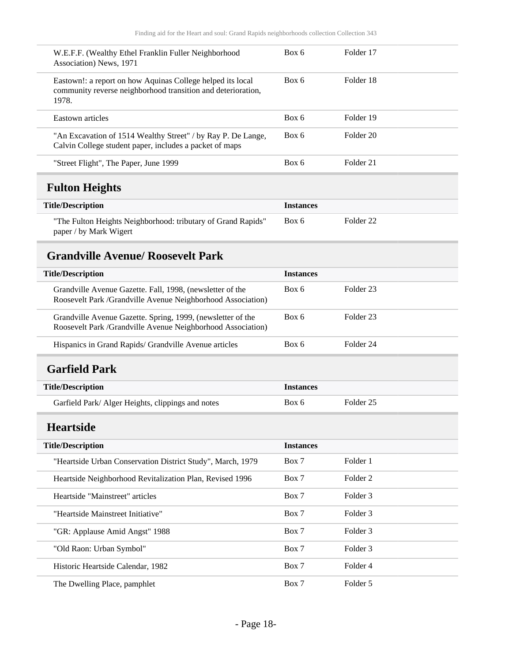<span id="page-17-3"></span><span id="page-17-2"></span><span id="page-17-1"></span><span id="page-17-0"></span>

| W.E.F.F. (Wealthy Ethel Franklin Fuller Neighborhood<br>Association) News, 1971                                                     | Box 6            | Folder 17            |  |
|-------------------------------------------------------------------------------------------------------------------------------------|------------------|----------------------|--|
| Eastown!: a report on how Aquinas College helped its local<br>community reverse neighborhood transition and deterioration,<br>1978. | Box 6            | Folder 18            |  |
| Eastown articles                                                                                                                    | Box 6            | Folder 19            |  |
| "An Excavation of 1514 Wealthy Street" / by Ray P. De Lange,<br>Calvin College student paper, includes a packet of maps             | Box 6            | Folder <sub>20</sub> |  |
| "Street Flight", The Paper, June 1999                                                                                               | Box 6            | Folder 21            |  |
| <b>Fulton Heights</b>                                                                                                               |                  |                      |  |
| <b>Title/Description</b>                                                                                                            | <b>Instances</b> |                      |  |
| "The Fulton Heights Neighborhood: tributary of Grand Rapids"<br>paper / by Mark Wigert                                              | Box 6            | Folder <sub>22</sub> |  |
| <b>Grandville Avenue/ Roosevelt Park</b>                                                                                            |                  |                      |  |
| <b>Title/Description</b>                                                                                                            | <b>Instances</b> |                      |  |
| Grandville Avenue Gazette. Fall, 1998, (newsletter of the<br>Roosevelt Park /Grandville Avenue Neighborhood Association)            | Box 6            | Folder <sub>23</sub> |  |
| Grandville Avenue Gazette. Spring, 1999, (newsletter of the<br>Roosevelt Park /Grandville Avenue Neighborhood Association)          | Box 6            | Folder <sub>23</sub> |  |
| Hispanics in Grand Rapids/ Grandville Avenue articles                                                                               | Box 6            | Folder 24            |  |
| <b>Garfield Park</b>                                                                                                                |                  |                      |  |
| <b>Title/Description</b>                                                                                                            | <b>Instances</b> |                      |  |
| Garfield Park/ Alger Heights, clippings and notes                                                                                   | Box 6            | Folder <sub>25</sub> |  |
| <b>Heartside</b>                                                                                                                    |                  |                      |  |
| <b>Title/Description</b>                                                                                                            | <b>Instances</b> |                      |  |
| "Heartside Urban Conservation District Study", March, 1979                                                                          | Box 7            | Folder 1             |  |
| Heartside Neighborhood Revitalization Plan, Revised 1996                                                                            | Box 7            | Folder <sub>2</sub>  |  |
| Heartside "Mainstreet" articles                                                                                                     | Box 7            | Folder 3             |  |
| "Heartside Mainstreet Initiative"                                                                                                   | Box 7            | Folder 3             |  |
| "GR: Applause Amid Angst" 1988                                                                                                      | Box 7            | Folder 3             |  |
| "Old Raon: Urban Symbol"                                                                                                            | Box 7            | Folder 3             |  |
| Historic Heartside Calendar, 1982                                                                                                   | Box 7            | Folder 4             |  |
| The Dwelling Place, pamphlet                                                                                                        | Box 7            | Folder 5             |  |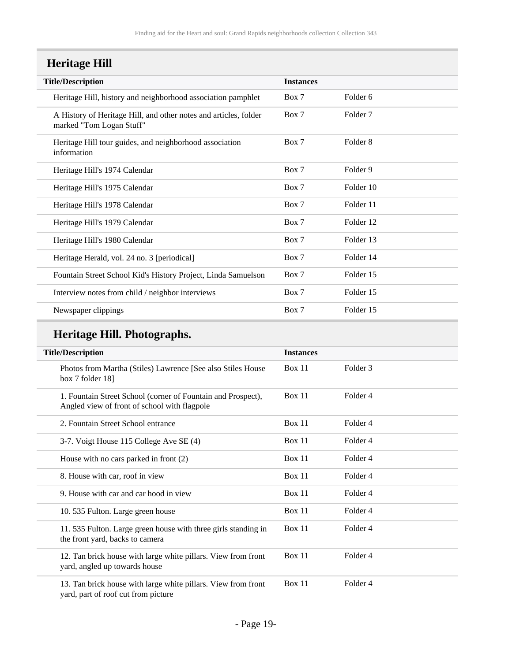## <span id="page-18-0"></span>**Heritage Hill**

| <b>Instances</b> |                     |
|------------------|---------------------|
| Box 7            | Folder 6            |
| Box 7            | Folder <sub>7</sub> |
| Box 7            | Folder 8            |
| Box 7            | Folder 9            |
| Box 7            | Folder 10           |
| Box 7            | Folder 11           |
| Box 7            | Folder 12           |
| Box 7            | Folder 13           |
| Box 7            | Folder 14           |
| Box 7            | Folder 15           |
| Box 7            | Folder 15           |
| Box 7            | Folder 15           |
|                  |                     |

## **Heritage Hill. Photographs.**

| <b>Title/Description</b>                                                                                     | <b>Instances</b> |                     |
|--------------------------------------------------------------------------------------------------------------|------------------|---------------------|
| Photos from Martha (Stiles) Lawrence [See also Stiles House<br>box 7 folder 18]                              | <b>Box 11</b>    | Folder <sub>3</sub> |
| 1. Fountain Street School (corner of Fountain and Prospect),<br>Angled view of front of school with flagpole | <b>Box 11</b>    | Folder 4            |
| 2. Fountain Street School entrance                                                                           | Box 11           | Folder <sub>4</sub> |
| 3-7. Voigt House 115 College Ave SE (4)                                                                      | Box 11           | Folder <sub>4</sub> |
| House with no cars parked in front $(2)$                                                                     | <b>Box 11</b>    | Folder 4            |
| 8. House with car, roof in view                                                                              | Box 11           | Folder <sub>4</sub> |
| 9. House with car and car hood in view                                                                       | <b>Box 11</b>    | Folder <sub>4</sub> |
| 10.535 Fulton. Large green house                                                                             | <b>Box 11</b>    | Folder <sub>4</sub> |
| 11.535 Fulton. Large green house with three girls standing in<br>the front yard, backs to camera             | Box 11           | Folder 4            |
| 12. Tan brick house with large white pillars. View from front<br>yard, angled up towards house               | <b>Box 11</b>    | Folder <sub>4</sub> |
| 13. Tan brick house with large white pillars. View from front<br>yard, part of roof cut from picture         | Box 11           | Folder <sub>4</sub> |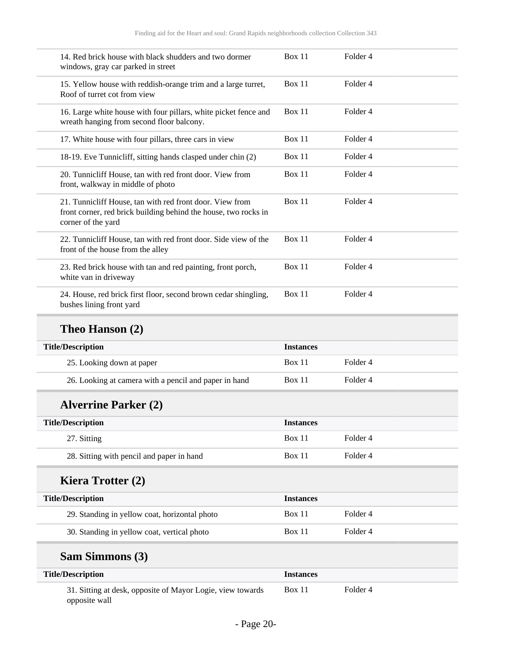| 14. Red brick house with black shudders and two dormer<br>windows, gray car parked in street                                                      | Box 11        | Folder <sub>4</sub> |  |
|---------------------------------------------------------------------------------------------------------------------------------------------------|---------------|---------------------|--|
| 15. Yellow house with reddish-orange trim and a large turret,<br>Roof of turret cot from view                                                     | Box 11        | Folder 4            |  |
| 16. Large white house with four pillars, white picket fence and<br>wreath hanging from second floor balcony.                                      | Box 11        | Folder <sub>4</sub> |  |
| 17. White house with four pillars, three cars in view                                                                                             | Box 11        | Folder <sub>4</sub> |  |
| 18-19. Eve Tunnicliff, sitting hands clasped under chin (2)                                                                                       | Box 11        | Folder <sub>4</sub> |  |
| 20. Tunnicliff House, tan with red front door. View from<br>front, walkway in middle of photo                                                     | Box $11$      | Folder <sub>4</sub> |  |
| 21. Tunnicliff House, tan with red front door. View from<br>front corner, red brick building behind the house, two rocks in<br>corner of the yard | <b>Box 11</b> | Folder <sub>4</sub> |  |
| 22. Tunnicliff House, tan with red front door. Side view of the<br>front of the house from the alley                                              | Box 11        | Folder <sub>4</sub> |  |
| 23. Red brick house with tan and red painting, front porch,<br>white van in driveway                                                              | Box 11        | Folder <sub>4</sub> |  |
| 24. House, red brick first floor, second brown cedar shingling,<br>bushes lining front yard                                                       | Box 11        | Folder <sub>4</sub> |  |
|                                                                                                                                                   |               |                     |  |

## **Theo Hanson (2)**

| <b>Title/Description</b>                              | <b>Instances</b> |          |
|-------------------------------------------------------|------------------|----------|
| 25. Looking down at paper                             | <b>Box 11</b>    | Folder 4 |
| 26. Looking at camera with a pencil and paper in hand | <b>Box 11</b>    | Folder 4 |

## **Alverrine Parker (2)**

| <b>Title/Description</b>                  | <b>Instances</b> |          |
|-------------------------------------------|------------------|----------|
| 27. Sitting                               | <b>Box 11</b>    | Folder 4 |
| 28. Sitting with pencil and paper in hand | <b>Box 11</b>    | Folder 4 |

## **Kiera Trotter (2)**

| <b>Title/Description</b>                      | <b>Instances</b> |          |
|-----------------------------------------------|------------------|----------|
| 29. Standing in yellow coat, horizontal photo | <b>Box 11</b>    | Folder 4 |
| 30. Standing in yellow coat, vertical photo   | <b>Box 11</b>    | Folder 4 |

## **Sam Simmons (3)**

| <b>Title/Description</b>                                                    | <i>Instances</i> |          |
|-----------------------------------------------------------------------------|------------------|----------|
| 31. Sitting at desk, opposite of Mayor Logie, view towards<br>opposite wall | Box 11           | Folder 4 |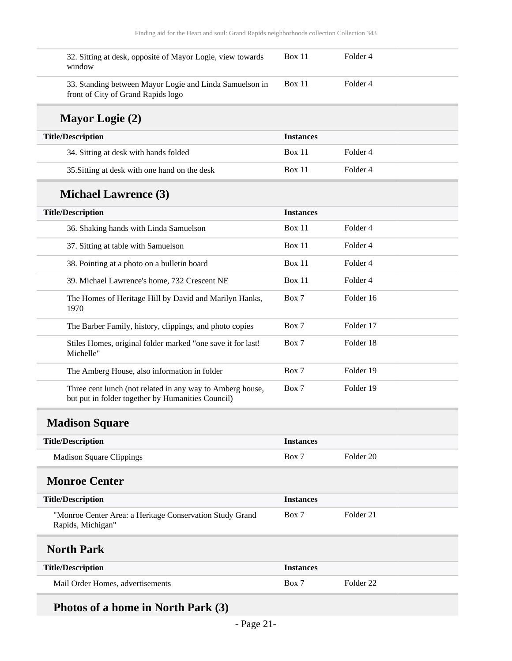| 32. Sitting at desk, opposite of Mayor Logie, view towards<br>window                                           | Box 11           | Folder 4             |
|----------------------------------------------------------------------------------------------------------------|------------------|----------------------|
| 33. Standing between Mayor Logie and Linda Samuelson in<br>front of City of Grand Rapids logo                  | Box 11           | Folder 4             |
| <b>Mayor Logie (2)</b>                                                                                         |                  |                      |
| <b>Title/Description</b>                                                                                       | <b>Instances</b> |                      |
| 34. Sitting at desk with hands folded                                                                          | Box $11$         | Folder 4             |
| 35. Sitting at desk with one hand on the desk                                                                  | Box 11           | Folder 4             |
| <b>Michael Lawrence (3)</b>                                                                                    |                  |                      |
| <b>Title/Description</b>                                                                                       | <b>Instances</b> |                      |
| 36. Shaking hands with Linda Samuelson                                                                         | Box 11           | Folder 4             |
| 37. Sitting at table with Samuelson                                                                            | Box 11           | Folder 4             |
| 38. Pointing at a photo on a bulletin board                                                                    | Box 11           | Folder 4             |
| 39. Michael Lawrence's home, 732 Crescent NE                                                                   | Box 11           | Folder 4             |
| The Homes of Heritage Hill by David and Marilyn Hanks,<br>1970                                                 | Box 7            | Folder 16            |
| The Barber Family, history, clippings, and photo copies                                                        | Box 7            | Folder 17            |
| Stiles Homes, original folder marked "one save it for last!<br>Michelle"                                       | Box 7            | Folder 18            |
| The Amberg House, also information in folder                                                                   | Box 7            | Folder 19            |
| Three cent lunch (not related in any way to Amberg house,<br>but put in folder together by Humanities Council) | Box 7            | Folder 19            |
| <b>Madison Square</b>                                                                                          |                  |                      |
| <b>Title/Description</b>                                                                                       | <b>Instances</b> |                      |
| <b>Madison Square Clippings</b>                                                                                | Box 7            | Folder <sub>20</sub> |
| <b>Monroe Center</b>                                                                                           |                  |                      |
| <b>Title/Description</b>                                                                                       | <b>Instances</b> |                      |
| "Monroe Center Area: a Heritage Conservation Study Grand<br>Rapids, Michigan"                                  | Box 7            | Folder 21            |
| <b>North Park</b>                                                                                              |                  |                      |
| <b>Title/Description</b>                                                                                       | <b>Instances</b> |                      |
| Mail Order Homes, advertisements                                                                               | Box 7            | Folder <sub>22</sub> |
|                                                                                                                |                  |                      |

## <span id="page-20-2"></span><span id="page-20-1"></span><span id="page-20-0"></span>**Photos of a home in North Park (3)**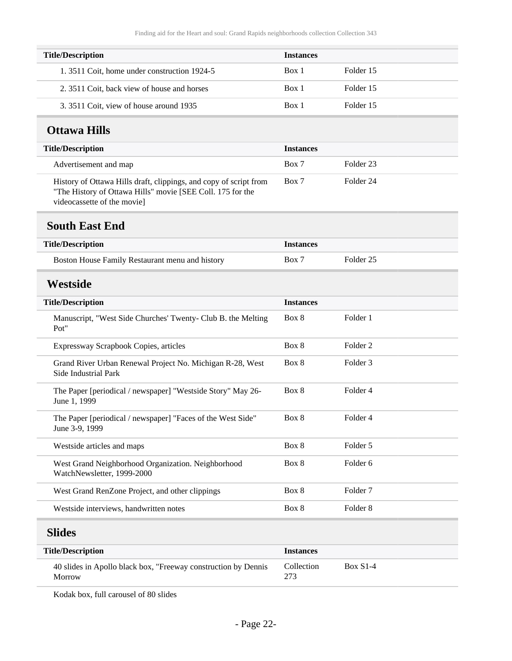| <b>Title/Description</b>                    | <b>Instances</b> |           |
|---------------------------------------------|------------------|-----------|
| 1.3511 Coit, home under construction 1924-5 | Box 1            | Folder 15 |
| 2. 3511 Coit, back view of house and horses | Box 1            | Folder 15 |
| 3. 3511 Coit, view of house around 1935     | Box 1            | Folder 15 |

#### <span id="page-21-0"></span>**Ottawa Hills**

| <b>Title/Description</b>                                                                                                        | <b>Instances</b> |           |
|---------------------------------------------------------------------------------------------------------------------------------|------------------|-----------|
| Advertisement and map                                                                                                           | Box 7            | Folder 23 |
| History of Ottawa Hills draft, clippings, and copy of script from<br>"The History of Ottawa Hills" movie [SEE Coll. 175 for the | Box 7            | Folder 24 |

videocassette of the movie]

#### <span id="page-21-1"></span>**South East End**

| <b>Title/Description</b>                        | <i>Instances</i> |           |
|-------------------------------------------------|------------------|-----------|
| Boston House Family Restaurant menu and history | Box 7            | Folder 25 |

### <span id="page-21-2"></span>**Westside**

| <b>Title/Description</b>                                                          | <b>Instances</b> |                     |
|-----------------------------------------------------------------------------------|------------------|---------------------|
| Manuscript, "West Side Churches' Twenty- Club B. the Melting<br>Pot"              | Box 8            | Folder 1            |
| Expressway Scrapbook Copies, articles                                             | Box 8            | Folder 2            |
| Grand River Urban Renewal Project No. Michigan R-28, West<br>Side Industrial Park | Box 8            | Folder 3            |
| The Paper [periodical / newspaper] "Westside Story" May 26-<br>June 1, 1999       | Box 8            | Folder 4            |
| The Paper [periodical / newspaper] "Faces of the West Side"<br>June 3-9, 1999     | Box 8            | Folder 4            |
| Westside articles and maps                                                        | Box 8            | Folder 5            |
| West Grand Neighborhood Organization. Neighborhood<br>WatchNewsletter, 1999-2000  | Box 8            | Folder 6            |
| West Grand RenZone Project, and other clippings                                   | Box 8            | Folder <sub>7</sub> |
| Westside interviews, handwritten notes                                            | Box 8            | Folder 8            |
|                                                                                   |                  |                     |

### <span id="page-21-3"></span>**Slides**

| <b>Title/Description</b>                                                  | <b>Instances</b>  |            |
|---------------------------------------------------------------------------|-------------------|------------|
| 40 slides in Apollo black box, "Freeway construction by Dennis"<br>Morrow | Collection<br>273 | $Box S1-4$ |

Kodak box, full carousel of 80 slides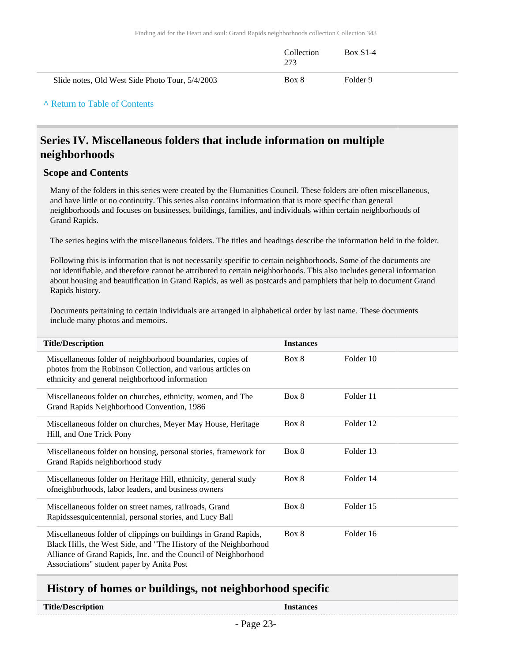|                                                 | Collection<br>273 | <b>Box S1-4</b> |
|-------------------------------------------------|-------------------|-----------------|
| Slide notes, Old West Side Photo Tour, 5/4/2003 | Box 8             | Folder 9        |

#### **^** [Return to Table of Contents](#page-1-0)

#### <span id="page-22-0"></span>**Series IV. Miscellaneous folders that include information on multiple neighborhoods**

#### **Scope and Contents**

Many of the folders in this series were created by the Humanities Council. These folders are often miscellaneous, and have little or no continuity. This series also contains information that is more specific than general neighborhoods and focuses on businesses, buildings, families, and individuals within certain neighborhoods of Grand Rapids.

The series begins with the miscellaneous folders. The titles and headings describe the information held in the folder.

Following this is information that is not necessarily specific to certain neighborhoods. Some of the documents are not identifiable, and therefore cannot be attributed to certain neighborhoods. This also includes general information about housing and beautification in Grand Rapids, as well as postcards and pamphlets that help to document Grand Rapids history.

Documents pertaining to certain individuals are arranged in alphabetical order by last name. These documents include many photos and memoirs.

| <b>Title/Description</b>                                                                                                                                                                                                                           | <b>Instances</b> |           |
|----------------------------------------------------------------------------------------------------------------------------------------------------------------------------------------------------------------------------------------------------|------------------|-----------|
| Miscellaneous folder of neighborhood boundaries, copies of<br>photos from the Robinson Collection, and various articles on<br>ethnicity and general neighborhood information                                                                       | Box 8            | Folder 10 |
| Miscellaneous folder on churches, ethnicity, women, and The<br>Grand Rapids Neighborhood Convention, 1986                                                                                                                                          | Box 8            | Folder 11 |
| Miscellaneous folder on churches, Meyer May House, Heritage<br>Hill, and One Trick Pony                                                                                                                                                            | Box 8            | Folder 12 |
| Miscellaneous folder on housing, personal stories, framework for<br>Grand Rapids neighborhood study                                                                                                                                                | Box 8            | Folder 13 |
| Miscellaneous folder on Heritage Hill, ethnicity, general study<br>ofneighborhoods, labor leaders, and business owners                                                                                                                             | Box 8            | Folder 14 |
| Miscellaneous folder on street names, railroads, Grand<br>Rapidssesquicentennial, personal stories, and Lucy Ball                                                                                                                                  | Box 8            | Folder 15 |
| Miscellaneous folder of clippings on buildings in Grand Rapids,<br>Black Hills, the West Side, and "The History of the Neighborhood<br>Alliance of Grand Rapids, Inc. and the Council of Neighborhood<br>Associations" student paper by Anita Post | Box 8            | Folder 16 |

#### <span id="page-22-1"></span>**History of homes or buildings, not neighborhood specific**

#### **Title/Description Instances**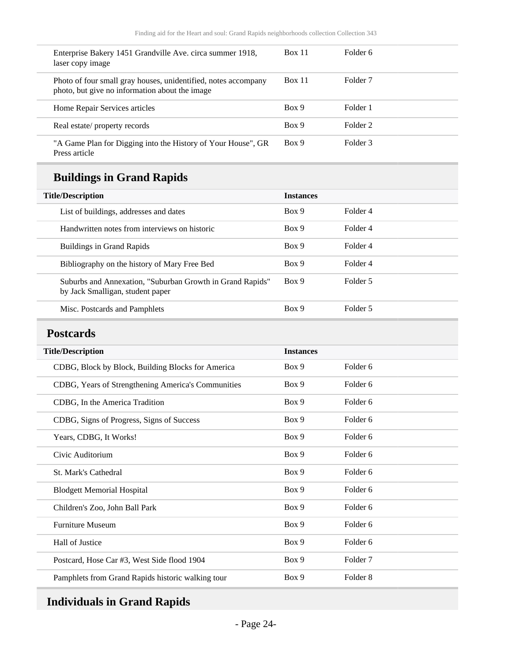| Enterprise Bakery 1451 Grandville Ave. circa summer 1918,<br>laser copy image                                    | <b>Box 11</b> | Folder 6 |
|------------------------------------------------------------------------------------------------------------------|---------------|----------|
| Photo of four small gray houses, unidentified, notes accompany<br>photo, but give no information about the image | Box 11        | Folder 7 |
| Home Repair Services articles                                                                                    | Box 9         | Folder 1 |
| Real estate/property records                                                                                     | Box 9         | Folder 2 |
| "A Game Plan for Digging into the History of Your House", GR<br>Press article                                    | Box 9         | Folder 3 |

## **Buildings in Grand Rapids**

| <b>Title/Description</b>                                                                      | <b>Instances</b> |          |
|-----------------------------------------------------------------------------------------------|------------------|----------|
| List of buildings, addresses and dates                                                        | Box 9            | Folder 4 |
| Handwritten notes from interviews on historic                                                 | Box 9            | Folder 4 |
| <b>Buildings in Grand Rapids</b>                                                              | Box 9            | Folder 4 |
| Bibliography on the history of Mary Free Bed                                                  | Box 9            | Folder 4 |
| Suburbs and Annexation, "Suburban Growth in Grand Rapids"<br>by Jack Smalligan, student paper | Box 9            | Folder 5 |
| Misc. Postcards and Pamphlets                                                                 | Box 9            | Folder 5 |

## <span id="page-23-0"></span>**Postcards**

| <b>Title/Description</b>                           | <b>Instances</b> |                     |
|----------------------------------------------------|------------------|---------------------|
| CDBG, Block by Block, Building Blocks for America  | Box 9            | Folder 6            |
| CDBG, Years of Strengthening America's Communities | Box 9            | Folder <sub>6</sub> |
| CDBG, In the America Tradition                     | Box 9            | Folder 6            |
| CDBG, Signs of Progress, Signs of Success          | Box 9            | Folder 6            |
| Years, CDBG, It Works!                             | Box 9            | Folder <sub>6</sub> |
| Civic Auditorium                                   | Box 9            | Folder <sub>6</sub> |
| <b>St. Mark's Cathedral</b>                        | Box 9            | Folder 6            |
| <b>Blodgett Memorial Hospital</b>                  | Box 9            | Folder <sub>6</sub> |
| Children's Zoo, John Ball Park                     | Box 9            | Folder 6            |
| <b>Furniture Museum</b>                            | Box 9            | Folder 6            |
| Hall of Justice                                    | Box 9            | Folder 6            |
| Postcard, Hose Car #3, West Side flood 1904        | Box 9            | Folder 7            |
| Pamphlets from Grand Rapids historic walking tour  | Box 9            | Folder <sub>8</sub> |

## <span id="page-23-1"></span>**Individuals in Grand Rapids**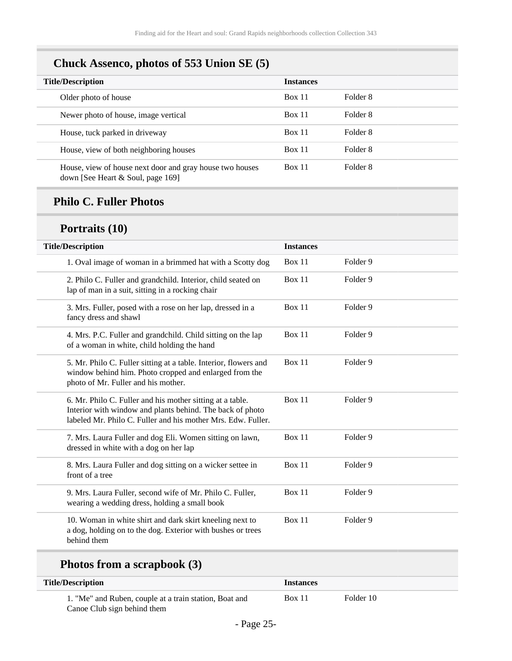## **Chuck Assenco, photos of 553 Union SE (5)**

| <b>Title/Description</b>                                                                        | <b>Instances</b> |          |
|-------------------------------------------------------------------------------------------------|------------------|----------|
| Older photo of house                                                                            | Box 11           | Folder 8 |
| Newer photo of house, image vertical                                                            | <b>Box 11</b>    | Folder 8 |
| House, tuck parked in driveway                                                                  | Box 11           | Folder 8 |
| House, view of both neighboring houses                                                          | Box 11           | Folder 8 |
| House, view of house next door and gray house two houses<br>down [See Heart $&$ Soul, page 169] | <b>Box 11</b>    | Folder 8 |

#### **Philo C. Fuller Photos**

## **Portraits (10)**

| <b>Title/Description</b>                                                                                                                                                               | <b>Instances</b> |          |  |
|----------------------------------------------------------------------------------------------------------------------------------------------------------------------------------------|------------------|----------|--|
| 1. Oval image of woman in a brimmed hat with a Scotty dog                                                                                                                              | <b>Box 11</b>    | Folder 9 |  |
| 2. Philo C. Fuller and grandchild. Interior, child seated on<br>lap of man in a suit, sitting in a rocking chair                                                                       | Box 11           | Folder 9 |  |
| 3. Mrs. Fuller, posed with a rose on her lap, dressed in a<br>fancy dress and shawl                                                                                                    | Box 11           | Folder 9 |  |
| 4. Mrs. P.C. Fuller and grandchild. Child sitting on the lap<br>of a woman in white, child holding the hand                                                                            | Box 11           | Folder 9 |  |
| 5. Mr. Philo C. Fuller sitting at a table. Interior, flowers and<br>window behind him. Photo cropped and enlarged from the<br>photo of Mr. Fuller and his mother.                      | Box 11           | Folder 9 |  |
| 6. Mr. Philo C. Fuller and his mother sitting at a table.<br>Interior with window and plants behind. The back of photo<br>labeled Mr. Philo C. Fuller and his mother Mrs. Edw. Fuller. | Box 11           | Folder 9 |  |
| 7. Mrs. Laura Fuller and dog Eli. Women sitting on lawn,<br>dressed in white with a dog on her lap                                                                                     | Box 11           | Folder 9 |  |
| 8. Mrs. Laura Fuller and dog sitting on a wicker settee in<br>front of a tree                                                                                                          | Box 11           | Folder 9 |  |
| 9. Mrs. Laura Fuller, second wife of Mr. Philo C. Fuller,<br>wearing a wedding dress, holding a small book                                                                             | Box 11           | Folder 9 |  |
| 10. Woman in white shirt and dark skirt kneeling next to<br>a dog, holding on to the dog. Exterior with bushes or trees<br>behind them                                                 | Box 11           | Folder 9 |  |
|                                                                                                                                                                                        |                  |          |  |

## **Photos from a scrapbook (3)**

| <b>Title/Description</b>                               | <i><u><b>Instances</b></u></i> |           |
|--------------------------------------------------------|--------------------------------|-----------|
| 1. "Me" and Ruben, couple at a train station, Boat and | <b>Box 11</b>                  | Folder 10 |
| Canoe Club sign behind them                            |                                |           |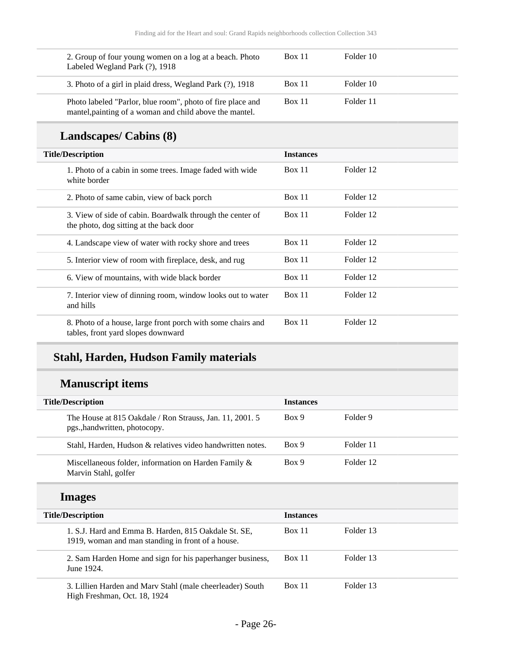| 2. Group of four young women on a log at a beach. Photo<br>Labeled Wegland Park (?), 1918                             | <b>Box 11</b> | Folder 10 |
|-----------------------------------------------------------------------------------------------------------------------|---------------|-----------|
| 3. Photo of a girl in plaid dress, Wegland Park (?), 1918                                                             | <b>Box 11</b> | Folder 10 |
| Photo labeled "Parlor, blue room", photo of fire place and<br>mantel, painting of a woman and child above the mantel. | <b>Box 11</b> | Folder 11 |

## **Landscapes/ Cabins (8)**

| <b>Title/Description</b>                                                                             | <b>Instances</b> |           |
|------------------------------------------------------------------------------------------------------|------------------|-----------|
| 1. Photo of a cabin in some trees. Image faded with wide<br>white border                             | Box 11           | Folder 12 |
| 2. Photo of same cabin, view of back porch                                                           | Box 11           | Folder 12 |
| 3. View of side of cabin. Boardwalk through the center of<br>the photo, dog sitting at the back door | Box 11           | Folder 12 |
| 4. Landscape view of water with rocky shore and trees                                                | Box 11           | Folder 12 |
| 5. Interior view of room with fireplace, desk, and rug                                               | Box 11           | Folder 12 |
| 6. View of mountains, with wide black border                                                         | Box 11           | Folder 12 |
| 7. Interior view of dinning room, window looks out to water<br>and hills                             | Box 11           | Folder 12 |
| 8. Photo of a house, large front porch with some chairs and<br>tables, front yard slopes downward    | Box 11           | Folder 12 |

## **Stahl, Harden, Hudson Family materials**

## **Manuscript items**

| <b>Title/Description</b>                                                                                  |                  |           |
|-----------------------------------------------------------------------------------------------------------|------------------|-----------|
|                                                                                                           | <b>Instances</b> |           |
| The House at 815 Oakdale / Ron Strauss, Jan. 11, 2001. 5<br>pgs., handwritten, photocopy.                 | Box 9            | Folder 9  |
| Stahl, Harden, Hudson & relatives video handwritten notes.                                                | Box 9            | Folder 11 |
| Miscellaneous folder, information on Harden Family &<br>Marvin Stahl, golfer                              | Box 9            | Folder 12 |
| <b>Images</b>                                                                                             |                  |           |
|                                                                                                           |                  |           |
| <b>Title/Description</b>                                                                                  | <b>Instances</b> |           |
| 1. S.J. Hard and Emma B. Harden, 815 Oakdale St. SE,<br>1919, woman and man standing in front of a house. | Box 11           | Folder 13 |
| 2. Sam Harden Home and sign for his paperhanger business,<br>June 1924.                                   | Box 11           | Folder 13 |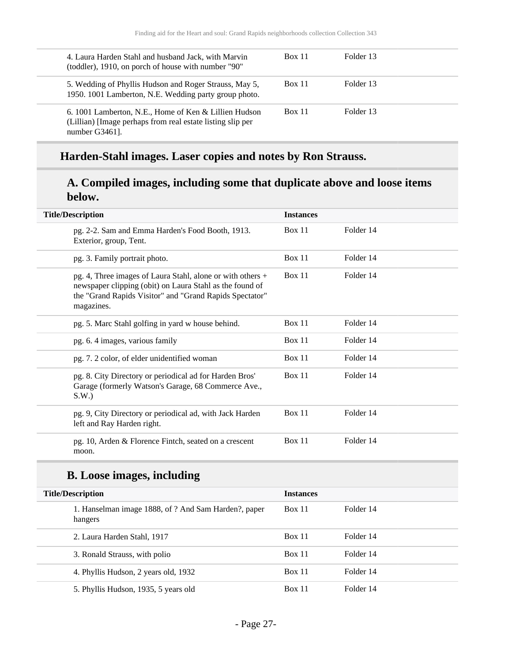| 4. Laura Harden Stahl and husband Jack, with Marvin<br>(toddler), 1910, on porch of house with number "90"                            | <b>Box 11</b> | Folder 13 |
|---------------------------------------------------------------------------------------------------------------------------------------|---------------|-----------|
| 5. Wedding of Phyllis Hudson and Roger Strauss, May 5,<br>1950. 1001 Lamberton, N.E. Wedding party group photo.                       | <b>Box 11</b> | Folder 13 |
| 6. 1001 Lamberton, N.E., Home of Ken & Lillien Hudson<br>(Lillian) [Image perhaps from real estate listing slip per<br>number G3461]. | <b>Box 11</b> | Folder 13 |

## **Harden-Stahl images. Laser copies and notes by Ron Strauss.**

#### **A. Compiled images, including some that duplicate above and loose items below.**

| <b>Title/Description</b>                                                                                                                                                                        | <b>Instances</b> |           |
|-------------------------------------------------------------------------------------------------------------------------------------------------------------------------------------------------|------------------|-----------|
| pg. 2-2. Sam and Emma Harden's Food Booth, 1913.<br>Exterior, group, Tent.                                                                                                                      | <b>Box 11</b>    | Folder 14 |
| pg. 3. Family portrait photo.                                                                                                                                                                   | <b>Box 11</b>    | Folder 14 |
| pg. 4, Three images of Laura Stahl, alone or with others +<br>newspaper clipping (obit) on Laura Stahl as the found of<br>the "Grand Rapids Visitor" and "Grand Rapids Spectator"<br>magazines. | Box 11           | Folder 14 |
| pg. 5. Marc Stahl golfing in yard w house behind.                                                                                                                                               | <b>Box 11</b>    | Folder 14 |
| pg. 6.4 images, various family                                                                                                                                                                  | Box 11           | Folder 14 |
| pg. 7. 2 color, of elder unidentified woman                                                                                                                                                     | Box 11           | Folder 14 |
| pg. 8. City Directory or periodical ad for Harden Bros'<br>Garage (formerly Watson's Garage, 68 Commerce Ave.,<br>S.W.                                                                          | Box 11           | Folder 14 |
| pg. 9, City Directory or periodical ad, with Jack Harden<br>left and Ray Harden right.                                                                                                          | Box 11           | Folder 14 |
| pg. 10, Arden & Florence Fintch, seated on a crescent<br>moon.                                                                                                                                  | Box 11           | Folder 14 |

### **B. Loose images, including**

| <b>Title/Description</b>                                        | <b>Instances</b> |           |
|-----------------------------------------------------------------|------------------|-----------|
| 1. Hanselman image 1888, of ? And Sam Harden?, paper<br>hangers | Box 11           | Folder 14 |
| 2. Laura Harden Stahl, 1917                                     | Box 11           | Folder 14 |
| 3. Ronald Strauss, with polio                                   | Box 11           | Folder 14 |
| 4. Phyllis Hudson, 2 years old, 1932                            | Box 11           | Folder 14 |
| 5. Phyllis Hudson, 1935, 5 years old                            | Box 11           | Folder 14 |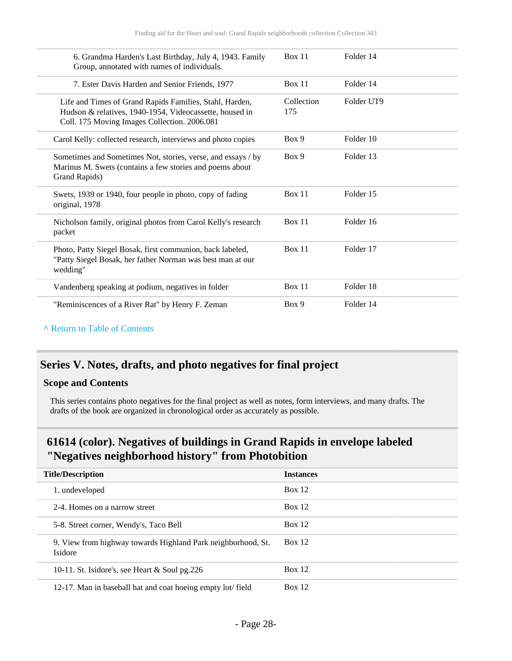| 6. Grandma Harden's Last Birthday, July 4, 1943. Family<br>Group, annotated with names of individuals.                                                             | Box 11            | Folder 14  |
|--------------------------------------------------------------------------------------------------------------------------------------------------------------------|-------------------|------------|
| 7. Ester Davis Harden and Senior Friends, 1977                                                                                                                     | Box 11            | Folder 14  |
| Life and Times of Grand Rapids Families, Stahl, Harden,<br>Hudson & relatives, 1940-1954, Videocassette, housed in<br>Coll. 175 Moving Images Collection. 2006.081 | Collection<br>175 | Folder UT9 |
| Carol Kelly: collected research, interviews and photo copies                                                                                                       | Box 9             | Folder 10  |
| Sometimes and Sometimes Not, stories, verse, and essays / by<br>Marinus M. Swets (contains a few stories and poems about<br>Grand Rapids)                          | Box 9             | Folder 13  |
| Swets, 1939 or 1940, four people in photo, copy of fading<br>original, 1978                                                                                        | Box 11            | Folder 15  |
| Nicholson family, original photos from Carol Kelly's research<br>packet                                                                                            | Box 11            | Folder 16  |
| Photo, Patty Siegel Bosak, first communion, back labeled,<br>"Patty Siegel Bosak, her father Norman was best man at our<br>wedding"                                | Box 11            | Folder 17  |
| Vandenberg speaking at podium, negatives in folder                                                                                                                 | Box 11            | Folder 18  |
| "Reminiscences of a River Rat" by Henry F. Zeman                                                                                                                   | Box 9             | Folder 14  |

#### **^** [Return to Table of Contents](#page-1-0)

## <span id="page-27-0"></span>**Series V. Notes, drafts, and photo negatives for final project**

#### **Scope and Contents**

This series contains photo negatives for the final project as well as notes, form interviews, and many drafts. The drafts of the book are organized in chronological order as accurately as possible.

<span id="page-27-1"></span>

| <b>Title/Description</b>                                                | <b>Instances</b> |
|-------------------------------------------------------------------------|------------------|
| 1. undeveloped                                                          | Box 12           |
| 2-4. Homes on a narrow street                                           | Box 12           |
| 5-8. Street corner, Wendy's, Taco Bell                                  | Box 12           |
| 9. View from highway towards Highland Park neighborhood, St.<br>Isidore | Box 12           |
| 10-11. St. Isidore's, see Heart $&$ Soul pg. 226                        | Box $12$         |
| 12-17. Man in baseball hat and coat hoeing empty lot/field              | Box 12           |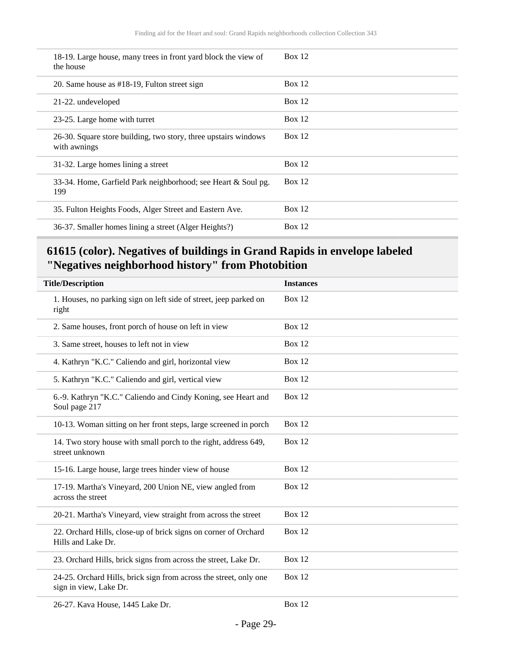| 18-19. Large house, many trees in front yard block the view of<br>the house     | Box 12 |
|---------------------------------------------------------------------------------|--------|
| 20. Same house as #18-19, Fulton street sign                                    | Box 12 |
| 21-22. undeveloped                                                              | Box 12 |
| 23-25. Large home with turret                                                   | Box 12 |
| 26-30. Square store building, two story, three upstairs windows<br>with awnings | Box 12 |
| 31-32. Large homes lining a street                                              | Box 12 |
| 33-34. Home, Garfield Park neighborhood; see Heart & Soul pg.<br>199            | Box 12 |
| 35. Fulton Heights Foods, Alger Street and Eastern Ave.                         | Box 12 |
| 36-37. Smaller homes lining a street (Alger Heights?)                           | Box 12 |

<span id="page-28-0"></span>

| <b>Instances</b> |
|------------------|
| <b>Box 12</b>    |
| <b>Box 12</b>    |
| <b>Box 12</b>    |
| <b>Box 12</b>    |
| <b>Box 12</b>    |
| <b>Box 12</b>    |
| <b>Box 12</b>    |
| <b>Box 12</b>    |
| <b>Box 12</b>    |
| <b>Box 12</b>    |
| <b>Box 12</b>    |
| <b>Box 12</b>    |
| <b>Box 12</b>    |
| <b>Box 12</b>    |
| <b>Box 12</b>    |
|                  |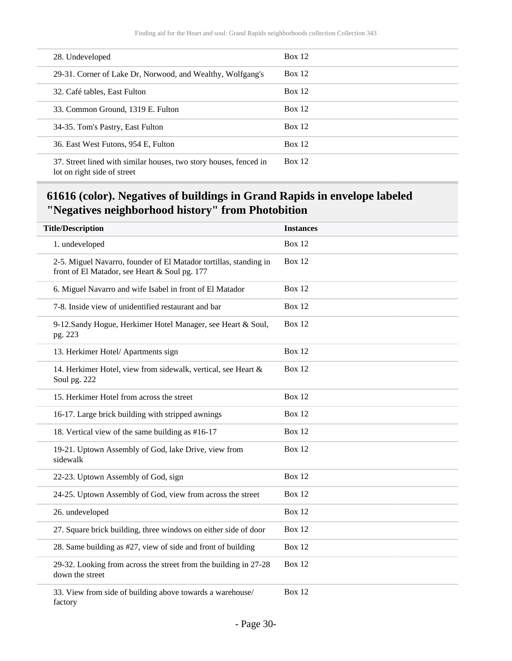| 28. Undeveloped                                                                                  | Box 12        |
|--------------------------------------------------------------------------------------------------|---------------|
| 29-31. Corner of Lake Dr, Norwood, and Wealthy, Wolfgang's                                       | Box 12        |
| 32. Café tables, East Fulton                                                                     | Box 12        |
| 33. Common Ground, 1319 E. Fulton                                                                | Box 12        |
| 34-35. Tom's Pastry, East Fulton                                                                 | Box 12        |
| 36. East West Futons, 954 E, Fulton                                                              | Box 12        |
| 37. Street lined with similar houses, two story houses, fenced in<br>lot on right side of street | <b>Box 12</b> |

<span id="page-29-0"></span>

| <b>Title/Description</b>                                                                                           | <b>Instances</b> |
|--------------------------------------------------------------------------------------------------------------------|------------------|
| 1. undeveloped                                                                                                     | <b>Box 12</b>    |
| 2-5. Miguel Navarro, founder of El Matador tortillas, standing in<br>front of El Matador, see Heart & Soul pg. 177 | <b>Box 12</b>    |
| 6. Miguel Navarro and wife Isabel in front of El Matador                                                           | <b>Box 12</b>    |
| 7-8. Inside view of unidentified restaurant and bar                                                                | <b>Box 12</b>    |
| 9-12. Sandy Hogue, Herkimer Hotel Manager, see Heart & Soul,<br>pg. 223                                            | Box 12           |
| 13. Herkimer Hotel/ Apartments sign                                                                                | Box 12           |
| 14. Herkimer Hotel, view from sidewalk, vertical, see Heart &<br>Soul pg. 222                                      | <b>Box 12</b>    |
| 15. Herkimer Hotel from across the street                                                                          | <b>Box 12</b>    |
| 16-17. Large brick building with stripped awnings                                                                  | <b>Box 12</b>    |
| 18. Vertical view of the same building as #16-17                                                                   | <b>Box 12</b>    |
| 19-21. Uptown Assembly of God, lake Drive, view from<br>sidewalk                                                   | <b>Box 12</b>    |
| 22-23. Uptown Assembly of God, sign                                                                                | <b>Box 12</b>    |
| 24-25. Uptown Assembly of God, view from across the street                                                         | <b>Box 12</b>    |
| 26. undeveloped                                                                                                    | <b>Box 12</b>    |
| 27. Square brick building, three windows on either side of door                                                    | <b>Box 12</b>    |
| 28. Same building as #27, view of side and front of building                                                       | <b>Box 12</b>    |
| 29-32. Looking from across the street from the building in 27-28<br>down the street                                | <b>Box 12</b>    |
| 33. View from side of building above towards a warehouse/<br>factory                                               | <b>Box 12</b>    |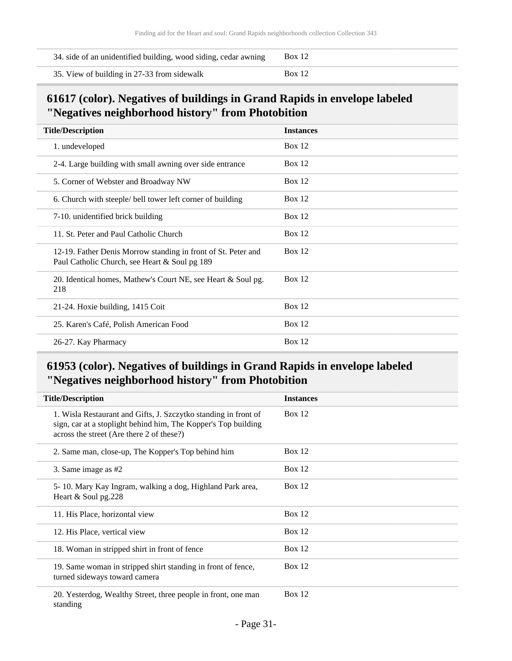| 34. side of an unidentified building, wood siding, cedar awning | <b>Box</b> 12 |
|-----------------------------------------------------------------|---------------|
| 35. View of building in 27-33 from sidewalk                     | <b>Box 12</b> |

<span id="page-30-0"></span>

| <b>Title/Description</b>                                                                                       | <b>Instances</b> |
|----------------------------------------------------------------------------------------------------------------|------------------|
| 1. undeveloped                                                                                                 | Box $12$         |
| 2-4. Large building with small awning over side entrance                                                       | Box $12$         |
| 5. Corner of Webster and Broadway NW                                                                           | Box $12$         |
| 6. Church with steeple/ bell tower left corner of building                                                     | Box $12$         |
| 7-10. unidentified brick building                                                                              | Box $12$         |
| 11. St. Peter and Paul Catholic Church                                                                         | Box $12$         |
| 12-19. Father Denis Morrow standing in front of St. Peter and<br>Paul Catholic Church, see Heart & Soul pg 189 | Box 12           |
| 20. Identical homes, Mathew's Court NE, see Heart & Soul pg.<br>218                                            | Box $12$         |
| 21-24. Hoxie building, 1415 Coit                                                                               | Box $12$         |
| 25. Karen's Café, Polish American Food                                                                         | Box $12$         |
| 26-27. Kay Pharmacy                                                                                            | Box 12           |

<span id="page-30-1"></span>

| <b>Title/Description</b>                                                                                                                                                       | <b>Instances</b> |
|--------------------------------------------------------------------------------------------------------------------------------------------------------------------------------|------------------|
| 1. Wisla Restaurant and Gifts, J. Szczytko standing in front of<br>sign, car at a stoplight behind him, The Kopper's Top building<br>across the street (Are there 2 of these?) | Box 12           |
| 2. Same man, close-up, The Kopper's Top behind him                                                                                                                             | Box $12$         |
| 3. Same image as $#2$                                                                                                                                                          | Box $12$         |
| 5-10. Mary Kay Ingram, walking a dog, Highland Park area,<br>Heart $&$ Soul pg. 228                                                                                            | Box $12$         |
| 11. His Place, horizontal view                                                                                                                                                 | Box $12$         |
| 12. His Place, vertical view                                                                                                                                                   | Box $12$         |
| 18. Woman in stripped shirt in front of fence                                                                                                                                  | Box $12$         |
| 19. Same woman in stripped shirt standing in front of fence,<br>turned sideways toward camera                                                                                  | Box $12$         |
| 20. Yesterdog, Wealthy Street, three people in front, one man<br>standing                                                                                                      | Box $12$         |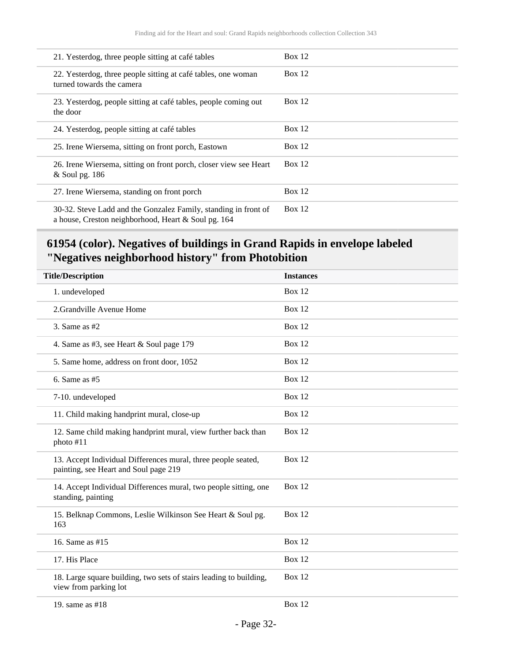| 21. Yesterdog, three people sitting at café tables                                                                     | Box 12   |
|------------------------------------------------------------------------------------------------------------------------|----------|
| 22. Yesterdog, three people sitting at café tables, one woman<br>turned towards the camera                             | Box $12$ |
| 23. Yesterdog, people sitting at café tables, people coming out<br>the door                                            | Box 12   |
| 24. Yesterdog, people sitting at café tables                                                                           | Box 12   |
| 25. Irene Wiersema, sitting on front porch, Eastown                                                                    | Box 12   |
| 26. Irene Wiersema, sitting on front porch, closer view see Heart<br>& Soul pg. 186                                    | Box 12   |
| 27. Irene Wiersema, standing on front porch                                                                            | Box $12$ |
| 30-32. Steve Ladd and the Gonzalez Family, standing in front of<br>a house, Creston neighborhood, Heart & Soul pg. 164 | Box $12$ |

<span id="page-31-0"></span>

| <b>Title/Description</b>                                                                               | <b>Instances</b> |
|--------------------------------------------------------------------------------------------------------|------------------|
| 1. undeveloped                                                                                         | <b>Box 12</b>    |
| 2.Grandville Avenue Home                                                                               | <b>Box 12</b>    |
| 3. Same as $#2$                                                                                        | <b>Box 12</b>    |
| 4. Same as #3, see Heart & Soul page 179                                                               | <b>Box 12</b>    |
| 5. Same home, address on front door, 1052                                                              | <b>Box 12</b>    |
| 6. Same as $#5$                                                                                        | <b>Box 12</b>    |
| 7-10. undeveloped                                                                                      | <b>Box 12</b>    |
| 11. Child making handprint mural, close-up                                                             | <b>Box 12</b>    |
| 12. Same child making handprint mural, view further back than<br>photo #11                             | <b>Box 12</b>    |
| 13. Accept Individual Differences mural, three people seated,<br>painting, see Heart and Soul page 219 | <b>Box 12</b>    |
| 14. Accept Individual Differences mural, two people sitting, one<br>standing, painting                 | <b>Box 12</b>    |
| 15. Belknap Commons, Leslie Wilkinson See Heart & Soul pg.<br>163                                      | <b>Box 12</b>    |
| 16. Same as #15                                                                                        | <b>Box 12</b>    |
| 17. His Place                                                                                          | <b>Box 12</b>    |
| 18. Large square building, two sets of stairs leading to building,<br>view from parking lot            | <b>Box 12</b>    |
| 19. same as #18                                                                                        | <b>Box 12</b>    |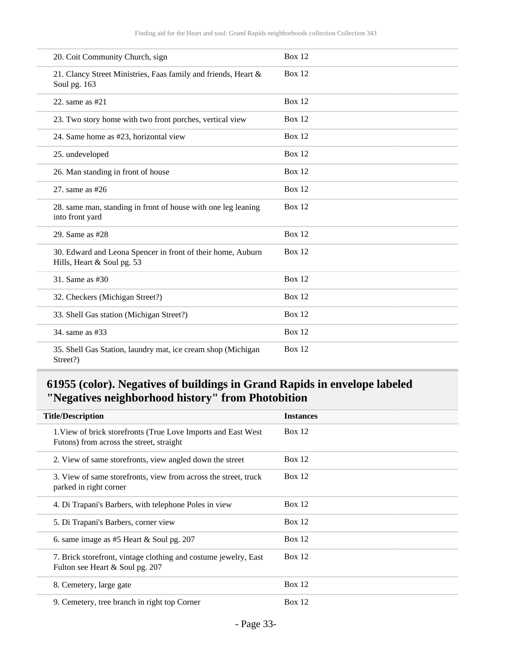| 20. Coit Community Church, sign                                                           | <b>Box 12</b> |
|-------------------------------------------------------------------------------------------|---------------|
| 21. Clancy Street Ministries, Faas family and friends, Heart &<br>Soul pg. 163            | <b>Box 12</b> |
| 22. same as $#21$                                                                         | <b>Box 12</b> |
| 23. Two story home with two front porches, vertical view                                  | <b>Box 12</b> |
| 24. Same home as #23, horizontal view                                                     | <b>Box 12</b> |
| 25. undeveloped                                                                           | <b>Box 12</b> |
| 26. Man standing in front of house                                                        | <b>Box 12</b> |
| 27. same as $#26$                                                                         | Box $12$      |
| 28. same man, standing in front of house with one leg leaning<br>into front yard          | <b>Box 12</b> |
| 29. Same as #28                                                                           | <b>Box 12</b> |
| 30. Edward and Leona Spencer in front of their home, Auburn<br>Hills, Heart & Soul pg. 53 | <b>Box 12</b> |
| 31. Same as #30                                                                           | <b>Box 12</b> |
| 32. Checkers (Michigan Street?)                                                           | Box $12$      |
| 33. Shell Gas station (Michigan Street?)                                                  | Box $12$      |
| 34. same as #33                                                                           | Box 12        |
| 35. Shell Gas Station, laundry mat, ice cream shop (Michigan<br>Street?)                  | Box $12$      |

<span id="page-32-0"></span>

| <b>Title/Description</b>                                                                                   | <b>Instances</b> |
|------------------------------------------------------------------------------------------------------------|------------------|
| 1. View of brick storefronts (True Love Imports and East West)<br>Futons) from across the street, straight | Box 12           |
| 2. View of same storefronts, view angled down the street                                                   | Box $12$         |
| 3. View of same storefronts, view from across the street, truck<br>parked in right corner                  | Box $12$         |
| 4. Di Trapani's Barbers, with telephone Poles in view                                                      | Box 12           |
| 5. Di Trapani's Barbers, corner view                                                                       | Box $12$         |
| 6. same image as $#5$ Heart & Soul pg. 207                                                                 | Box $12$         |
| 7. Brick storefront, vintage clothing and costume jewelry, East<br>Fulton see Heart & Soul pg. 207         | Box $12$         |
| 8. Cemetery, large gate                                                                                    | Box $12$         |
| 9. Cemetery, tree branch in right top Corner                                                               | Box $12$         |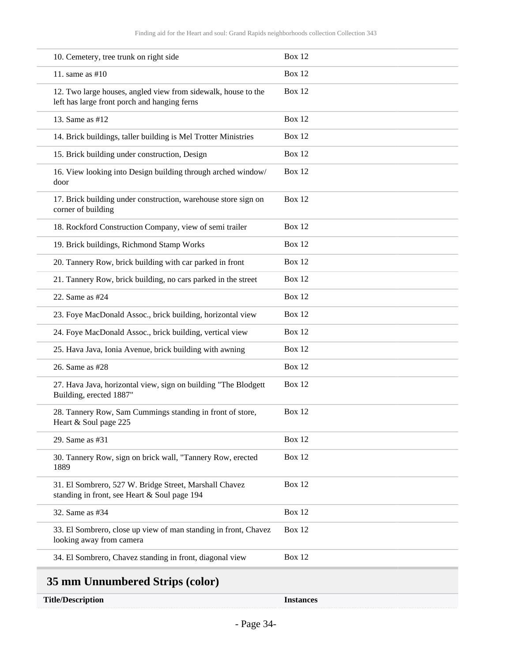| 10. Cemetery, tree trunk on right side                                                                        | Box 12        |
|---------------------------------------------------------------------------------------------------------------|---------------|
| 11. same as $#10$                                                                                             | <b>Box 12</b> |
| 12. Two large houses, angled view from sidewalk, house to the<br>left has large front porch and hanging ferns | <b>Box 12</b> |
| 13. Same as #12                                                                                               | <b>Box 12</b> |
| 14. Brick buildings, taller building is Mel Trotter Ministries                                                | <b>Box 12</b> |
| 15. Brick building under construction, Design                                                                 | Box 12        |
| 16. View looking into Design building through arched window/<br>door                                          | Box 12        |
| 17. Brick building under construction, warehouse store sign on<br>corner of building                          | Box 12        |
| 18. Rockford Construction Company, view of semi trailer                                                       | Box 12        |
| 19. Brick buildings, Richmond Stamp Works                                                                     | Box 12        |
| 20. Tannery Row, brick building with car parked in front                                                      | Box 12        |
| 21. Tannery Row, brick building, no cars parked in the street                                                 | Box 12        |
| 22. Same as #24                                                                                               | Box 12        |
| 23. Foye MacDonald Assoc., brick building, horizontal view                                                    | <b>Box 12</b> |
| 24. Foye MacDonald Assoc., brick building, vertical view                                                      | Box 12        |
| 25. Hava Java, Ionia Avenue, brick building with awning                                                       | <b>Box 12</b> |
| 26. Same as #28                                                                                               | Box 12        |
| 27. Hava Java, horizontal view, sign on building "The Blodgett<br>Building, erected 1887"                     | Box 12        |
| 28. Tannery Row, Sam Cummings standing in front of store,<br>Heart & Soul page 225                            | Box 12        |
| 29. Same as #31                                                                                               | Box 12        |
| 30. Tannery Row, sign on brick wall, "Tannery Row, erected<br>1889                                            | Box 12        |
| 31. El Sombrero, 527 W. Bridge Street, Marshall Chavez<br>standing in front, see Heart & Soul page 194        | <b>Box 12</b> |
| 32. Same as #34                                                                                               | Box 12        |
| 33. El Sombrero, close up view of man standing in front, Chavez<br>looking away from camera                   | Box 12        |
| 34. El Sombrero, Chavez standing in front, diagonal view                                                      | <b>Box 12</b> |
| 35 mm Unnumbered Strips (color)                                                                               |               |

<span id="page-33-0"></span>**Title/Description Instances**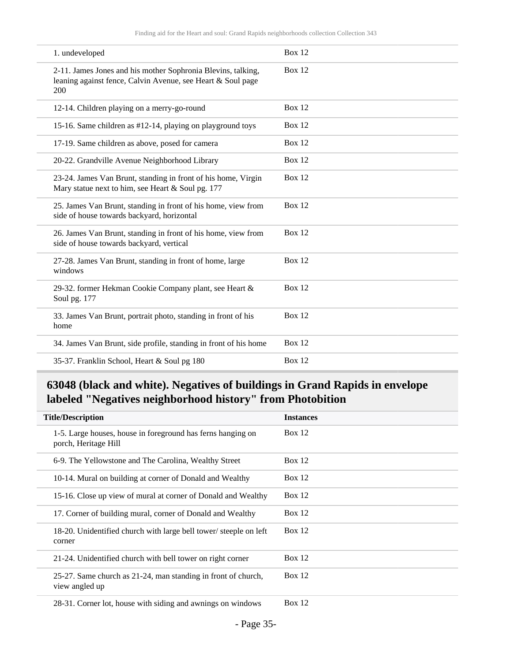| 1. undeveloped                                                                                                                     | Box 12        |
|------------------------------------------------------------------------------------------------------------------------------------|---------------|
| 2-11. James Jones and his mother Sophronia Blevins, talking,<br>leaning against fence, Calvin Avenue, see Heart & Soul page<br>200 | Box 12        |
| 12-14. Children playing on a merry-go-round                                                                                        | <b>Box 12</b> |
| 15-16. Same children as #12-14, playing on playground toys                                                                         | <b>Box 12</b> |
| 17-19. Same children as above, posed for camera                                                                                    | Box 12        |
| 20-22. Grandville Avenue Neighborhood Library                                                                                      | Box 12        |
| 23-24. James Van Brunt, standing in front of his home, Virgin<br>Mary statue next to him, see Heart & Soul pg. 177                 | Box 12        |
| 25. James Van Brunt, standing in front of his home, view from<br>side of house towards backyard, horizontal                        | Box $12$      |
| 26. James Van Brunt, standing in front of his home, view from<br>side of house towards backyard, vertical                          | <b>Box 12</b> |
| 27-28. James Van Brunt, standing in front of home, large<br>windows                                                                | Box $12$      |
| 29-32. former Hekman Cookie Company plant, see Heart &<br>Soul pg. 177                                                             | Box 12        |
| 33. James Van Brunt, portrait photo, standing in front of his<br>home                                                              | <b>Box 12</b> |
| 34. James Van Brunt, side profile, standing in front of his home                                                                   | <b>Box 12</b> |
| 35-37. Franklin School, Heart & Soul pg 180                                                                                        | <b>Box 12</b> |

<span id="page-34-0"></span>

| <b>Title/Description</b>                                                            | <b>Instances</b> |
|-------------------------------------------------------------------------------------|------------------|
| 1-5. Large houses, house in foreground has ferns hanging on<br>porch, Heritage Hill | Box $12$         |
| 6-9. The Yellowstone and The Carolina, Wealthy Street                               | Box 12           |
| 10-14. Mural on building at corner of Donald and Wealthy                            | Box $12$         |
| 15-16. Close up view of mural at corner of Donald and Wealthy                       | Box 12           |
| 17. Corner of building mural, corner of Donald and Wealthy                          | Box 12           |
| 18-20. Unidentified church with large bell tower/steeple on left<br>corner          | Box $12$         |
| 21-24. Unidentified church with bell tower on right corner                          | Box $12$         |
| 25-27. Same church as 21-24, man standing in front of church,<br>view angled up     | Box $12$         |
| 28-31. Corner lot, house with siding and awnings on windows                         | Box $12$         |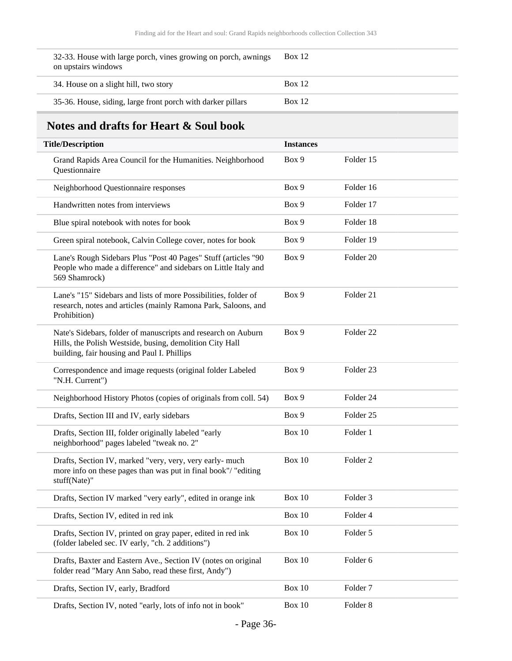| 32-33. House with large porch, vines growing on porch, awnings<br>on upstairs windows | <b>Box</b> 12 |
|---------------------------------------------------------------------------------------|---------------|
| 34. House on a slight hill, two story                                                 | Box 12        |
| 35-36. House, siding, large front porch with darker pillars                           | Box 12        |

## <span id="page-35-0"></span>**Notes and drafts for Heart & Soul book**

| <b>Title/Description</b>                                                                                                                                                 | <b>Instances</b> |                      |
|--------------------------------------------------------------------------------------------------------------------------------------------------------------------------|------------------|----------------------|
| Grand Rapids Area Council for the Humanities. Neighborhood<br>Questionnaire                                                                                              | Box 9            | Folder 15            |
| Neighborhood Questionnaire responses                                                                                                                                     | Box 9            | Folder 16            |
| Handwritten notes from interviews                                                                                                                                        | Box 9            | Folder 17            |
| Blue spiral notebook with notes for book                                                                                                                                 | Box 9            | Folder 18            |
| Green spiral notebook, Calvin College cover, notes for book                                                                                                              | Box 9            | Folder 19            |
| Lane's Rough Sidebars Plus "Post 40 Pages" Stuff (articles "90<br>People who made a difference" and sidebars on Little Italy and<br>569 Shamrock)                        | Box 9            | Folder <sub>20</sub> |
| Lane's "15" Sidebars and lists of more Possibilities, folder of<br>research, notes and articles (mainly Ramona Park, Saloons, and<br>Prohibition)                        | Box 9            | Folder 21            |
| Nate's Sidebars, folder of manuscripts and research on Auburn<br>Hills, the Polish Westside, busing, demolition City Hall<br>building, fair housing and Paul I. Phillips | Box 9            | Folder <sub>22</sub> |
| Correspondence and image requests (original folder Labeled<br>"N.H. Current")                                                                                            | Box 9            | Folder 23            |
| Neighborhood History Photos (copies of originals from coll. 54)                                                                                                          | Box 9            | Folder <sub>24</sub> |
| Drafts, Section III and IV, early sidebars                                                                                                                               | Box 9            | Folder <sub>25</sub> |
| Drafts, Section III, folder originally labeled "early<br>neighborhood" pages labeled "tweak no. 2"                                                                       | Box 10           | Folder 1             |
| Drafts, Section IV, marked "very, very, very early- much<br>more info on these pages than was put in final book"/ "editing<br>stuff(Nate)"                               | <b>Box 10</b>    | Folder <sub>2</sub>  |
| Drafts, Section IV marked "very early", edited in orange ink                                                                                                             | <b>Box 10</b>    | Folder <sub>3</sub>  |
| Drafts, Section IV, edited in red ink                                                                                                                                    | <b>Box 10</b>    | Folder 4             |
| Drafts, Section IV, printed on gray paper, edited in red ink<br>(folder labeled sec. IV early, "ch. 2 additions")                                                        | <b>Box 10</b>    | Folder 5             |
| Drafts, Baxter and Eastern Ave., Section IV (notes on original<br>folder read "Mary Ann Sabo, read these first, Andy")                                                   | <b>Box 10</b>    | Folder 6             |
| Drafts, Section IV, early, Bradford                                                                                                                                      | <b>Box 10</b>    | Folder <sub>7</sub>  |
| Drafts, Section IV, noted "early, lots of info not in book"                                                                                                              | <b>Box 10</b>    | Folder <sub>8</sub>  |